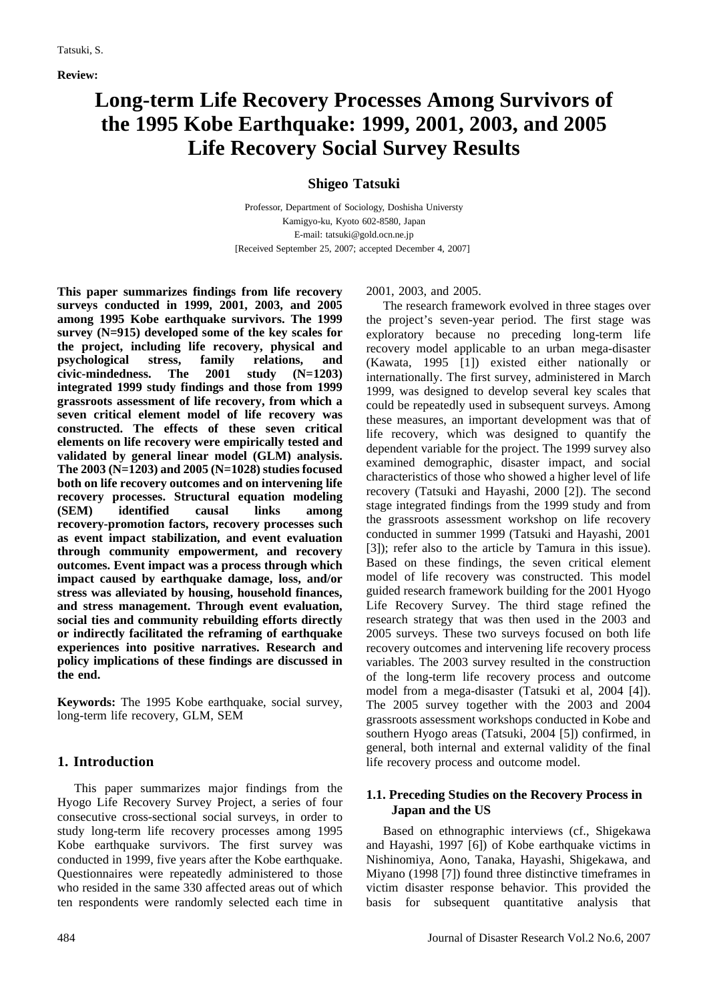**Review:** 

# **Long-term Life Recovery Processes Among Survivors of the 1995 Kobe Earthquake: 1999, 2001, 2003, and 2005 Life Recovery Social Survey Results**

# **Shigeo Tatsuki**

Professor, Department of Sociology, Doshisha Universty Kamigyo-ku, Kyoto 602-8580, Japan E-mail: tatsuki@gold.ocn.ne.jp [Received September 25, 2007; accepted December 4, 2007]

**This paper summarizes findings from life recovery surveys conducted in 1999, 2001, 2003, and 2005 among 1995 Kobe earthquake survivors. The 1999 survey (N=915) developed some of the key scales for the project, including life recovery, physical and psychological stress, family relations, and civic-mindedness. The 2001 study (N=1203) integrated 1999 study findings and those from 1999 grassroots assessment of life recovery, from which a seven critical element model of life recovery was constructed. The effects of these seven critical elements on life recovery were empirically tested and validated by general linear model (GLM) analysis. The 2003 (N=1203) and 2005 (N=1028) studies focused both on life recovery outcomes and on intervening life recovery processes. Structural equation modeling (SEM) identified causal links among recovery-promotion factors, recovery processes such as event impact stabilization, and event evaluation through community empowerment, and recovery outcomes. Event impact was a process through which impact caused by earthquake damage, loss, and/or stress was alleviated by housing, household finances, and stress management. Through event evaluation, social ties and community rebuilding efforts directly or indirectly facilitated the reframing of earthquake experiences into positive narratives. Research and policy implications of these findings are discussed in the end.**

**Keywords:** The 1995 Kobe earthquake, social survey, long-term life recovery, GLM, SEM

## **1. Introduction**

This paper summarizes major findings from the Hyogo Life Recovery Survey Project, a series of four consecutive cross-sectional social surveys, in order to study long-term life recovery processes among 1995 Kobe earthquake survivors. The first survey was conducted in 1999, five years after the Kobe earthquake. Questionnaires were repeatedly administered to those who resided in the same 330 affected areas out of which ten respondents were randomly selected each time in

2001, 2003, and 2005.

The research framework evolved in three stages over the project's seven-year period. The first stage was exploratory because no preceding long-term life recovery model applicable to an urban mega-disaster (Kawata, 1995 [1]) existed either nationally or internationally. The first survey, administered in March 1999, was designed to develop several key scales that could be repeatedly used in subsequent surveys. Among these measures, an important development was that of life recovery, which was designed to quantify the dependent variable for the project. The 1999 survey also examined demographic, disaster impact, and social characteristics of those who showed a higher level of life recovery (Tatsuki and Hayashi, 2000 [2]). The second stage integrated findings from the 1999 study and from the grassroots assessment workshop on life recovery conducted in summer 1999 (Tatsuki and Hayashi, 2001 [3]); refer also to the article by Tamura in this issue). Based on these findings, the seven critical element model of life recovery was constructed. This model guided research framework building for the 2001 Hyogo Life Recovery Survey. The third stage refined the research strategy that was then used in the 2003 and 2005 surveys. These two surveys focused on both life recovery outcomes and intervening life recovery process variables. The 2003 survey resulted in the construction of the long-term life recovery process and outcome model from a mega-disaster (Tatsuki et al, 2004 [4]). The 2005 survey together with the 2003 and 2004 grassroots assessment workshops conducted in Kobe and southern Hyogo areas (Tatsuki, 2004 [5]) confirmed, in general, both internal and external validity of the final life recovery process and outcome model.

## **1.1. Preceding Studies on the Recovery Process in Japan and the US**

Based on ethnographic interviews (cf., Shigekawa and Hayashi, 1997 [6]) of Kobe earthquake victims in Nishinomiya, Aono, Tanaka, Hayashi, Shigekawa, and Miyano (1998 [7]) found three distinctive timeframes in victim disaster response behavior. This provided the basis for subsequent quantitative analysis that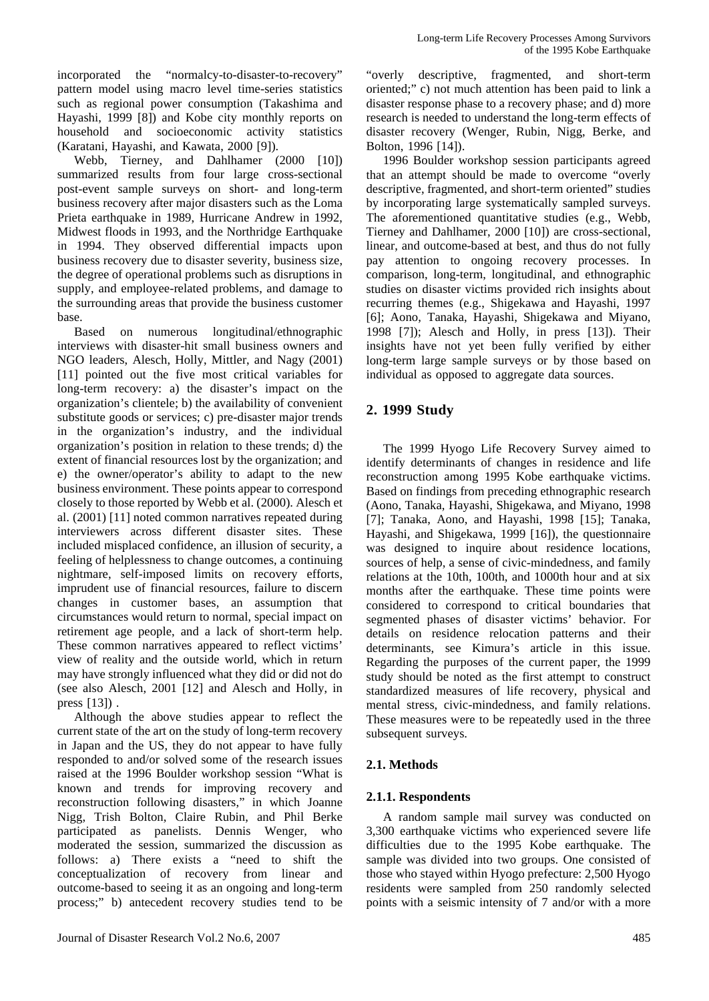incorporated the "normalcy-to-disaster-to-recovery" pattern model using macro level time-series statistics such as regional power consumption (Takashima and Hayashi, 1999 [8]) and Kobe city monthly reports on household and socioeconomic activity statistics (Karatani, Hayashi, and Kawata, 2000 [9]).

Webb, Tierney, and Dahlhamer (2000 [10]) summarized results from four large cross-sectional post-event sample surveys on short- and long-term business recovery after major disasters such as the Loma Prieta earthquake in 1989, Hurricane Andrew in 1992, Midwest floods in 1993, and the Northridge Earthquake in 1994. They observed differential impacts upon business recovery due to disaster severity, business size, the degree of operational problems such as disruptions in supply, and employee-related problems, and damage to the surrounding areas that provide the business customer base.

Based on numerous longitudinal/ethnographic interviews with disaster-hit small business owners and NGO leaders, Alesch, Holly, Mittler, and Nagy (2001) [11] pointed out the five most critical variables for long-term recovery: a) the disaster's impact on the organization's clientele; b) the availability of convenient substitute goods or services; c) pre-disaster major trends in the organization's industry, and the individual organization's position in relation to these trends; d) the extent of financial resources lost by the organization; and e) the owner/operator's ability to adapt to the new business environment. These points appear to correspond closely to those reported by Webb et al. (2000). Alesch et al. (2001) [11] noted common narratives repeated during interviewers across different disaster sites. These included misplaced confidence, an illusion of security, a feeling of helplessness to change outcomes, a continuing nightmare, self-imposed limits on recovery efforts, imprudent use of financial resources, failure to discern changes in customer bases, an assumption that circumstances would return to normal, special impact on retirement age people, and a lack of short-term help. These common narratives appeared to reflect victims' view of reality and the outside world, which in return may have strongly influenced what they did or did not do (see also Alesch, 2001 [12] and Alesch and Holly, in press [13]) .

Although the above studies appear to reflect the current state of the art on the study of long-term recovery in Japan and the US, they do not appear to have fully responded to and/or solved some of the research issues raised at the 1996 Boulder workshop session "What is known and trends for improving recovery and reconstruction following disasters," in which Joanne Nigg, Trish Bolton, Claire Rubin, and Phil Berke participated as panelists. Dennis Wenger, who moderated the session, summarized the discussion as follows: a) There exists a "need to shift the conceptualization of recovery from linear and outcome-based to seeing it as an ongoing and long-term process;" b) antecedent recovery studies tend to be

"overly descriptive, fragmented, and short-term oriented;" c) not much attention has been paid to link a disaster response phase to a recovery phase; and d) more research is needed to understand the long-term effects of disaster recovery (Wenger, Rubin, Nigg, Berke, and Bolton, 1996 [14]).

1996 Boulder workshop session participants agreed that an attempt should be made to overcome "overly descriptive, fragmented, and short-term oriented" studies by incorporating large systematically sampled surveys. The aforementioned quantitative studies (e.g., Webb, Tierney and Dahlhamer, 2000 [10]) are cross-sectional, linear, and outcome-based at best, and thus do not fully pay attention to ongoing recovery processes. In comparison, long-term, longitudinal, and ethnographic studies on disaster victims provided rich insights about recurring themes (e.g., Shigekawa and Hayashi, 1997 [6]; Aono, Tanaka, Hayashi, Shigekawa and Miyano, 1998 [7]); Alesch and Holly, in press [13]). Their insights have not yet been fully verified by either long-term large sample surveys or by those based on individual as opposed to aggregate data sources.

# **2. 1999 Study**

The 1999 Hyogo Life Recovery Survey aimed to identify determinants of changes in residence and life reconstruction among 1995 Kobe earthquake victims. Based on findings from preceding ethnographic research (Aono, Tanaka, Hayashi, Shigekawa, and Miyano, 1998 [7]; Tanaka, Aono, and Hayashi, 1998 [15]; Tanaka, Hayashi, and Shigekawa, 1999 [16]), the questionnaire was designed to inquire about residence locations, sources of help, a sense of civic-mindedness, and family relations at the 10th, 100th, and 1000th hour and at six months after the earthquake. These time points were considered to correspond to critical boundaries that segmented phases of disaster victims' behavior. For details on residence relocation patterns and their determinants, see Kimura's article in this issue. Regarding the purposes of the current paper, the 1999 study should be noted as the first attempt to construct standardized measures of life recovery, physical and mental stress, civic-mindedness, and family relations. These measures were to be repeatedly used in the three subsequent surveys.

## **2.1. Methods**

## **2.1.1. Respondents**

A random sample mail survey was conducted on 3,300 earthquake victims who experienced severe life difficulties due to the 1995 Kobe earthquake. The sample was divided into two groups. One consisted of those who stayed within Hyogo prefecture: 2,500 Hyogo residents were sampled from 250 randomly selected points with a seismic intensity of 7 and/or with a more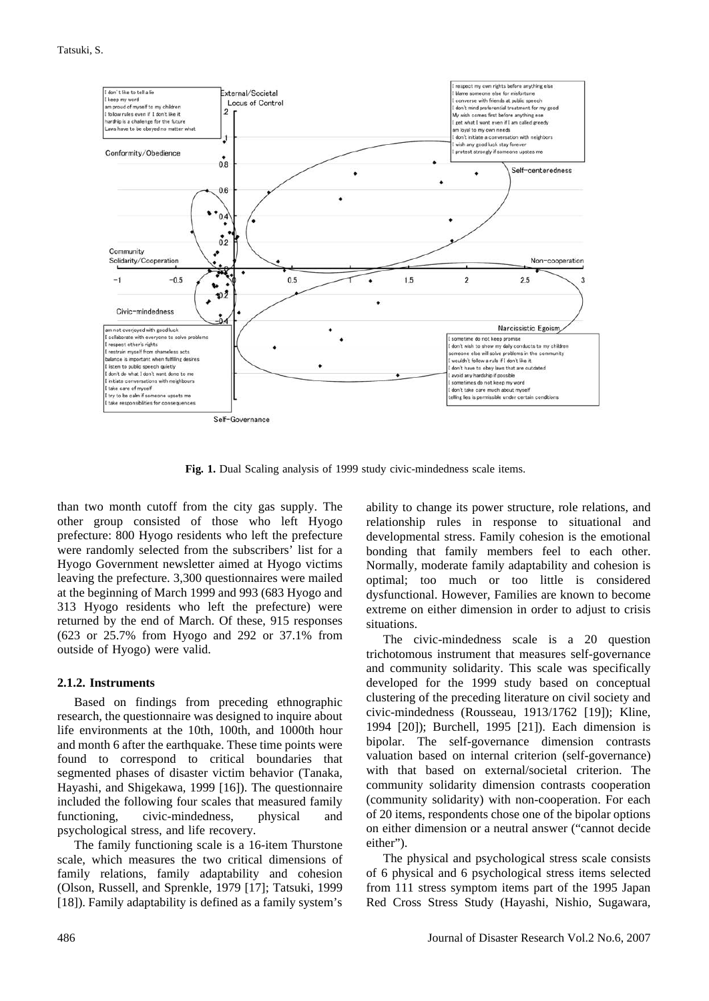

**Fig. 1.** Dual Scaling analysis of 1999 study civic-mindedness scale items.

than two month cutoff from the city gas supply. The other group consisted of those who left Hyogo prefecture: 800 Hyogo residents who left the prefecture were randomly selected from the subscribers' list for a Hyogo Government newsletter aimed at Hyogo victims leaving the prefecture. 3,300 questionnaires were mailed at the beginning of March 1999 and 993 (683 Hyogo and 313 Hyogo residents who left the prefecture) were returned by the end of March. Of these, 915 responses (623 or 25.7% from Hyogo and 292 or 37.1% from outside of Hyogo) were valid.

#### **2.1.2. Instruments**

Based on findings from preceding ethnographic research, the questionnaire was designed to inquire about life environments at the 10th, 100th, and 1000th hour and month 6 after the earthquake. These time points were found to correspond to critical boundaries that segmented phases of disaster victim behavior (Tanaka, Hayashi, and Shigekawa, 1999 [16]). The questionnaire included the following four scales that measured family functioning, civic-mindedness, physical and psychological stress, and life recovery.

The family functioning scale is a 16-item Thurstone scale, which measures the two critical dimensions of family relations, family adaptability and cohesion (Olson, Russell, and Sprenkle, 1979 [17]; Tatsuki, 1999 [18]). Family adaptability is defined as a family system's

ability to change its power structure, role relations, and relationship rules in response to situational and developmental stress. Family cohesion is the emotional bonding that family members feel to each other. Normally, moderate family adaptability and cohesion is optimal; too much or too little is considered dysfunctional. However, Families are known to become extreme on either dimension in order to adjust to crisis situations.

The civic-mindedness scale is a 20 question trichotomous instrument that measures self-governance and community solidarity. This scale was specifically developed for the 1999 study based on conceptual clustering of the preceding literature on civil society and civic-mindedness (Rousseau, 1913/1762 [19]); Kline, 1994 [20]); Burchell, 1995 [21]). Each dimension is bipolar. The self-governance dimension contrasts valuation based on internal criterion (self-governance) with that based on external/societal criterion. The community solidarity dimension contrasts cooperation (community solidarity) with non-cooperation. For each of 20 items, respondents chose one of the bipolar options on either dimension or a neutral answer ("cannot decide either").

The physical and psychological stress scale consists of 6 physical and 6 psychological stress items selected from 111 stress symptom items part of the 1995 Japan Red Cross Stress Study (Hayashi, Nishio, Sugawara,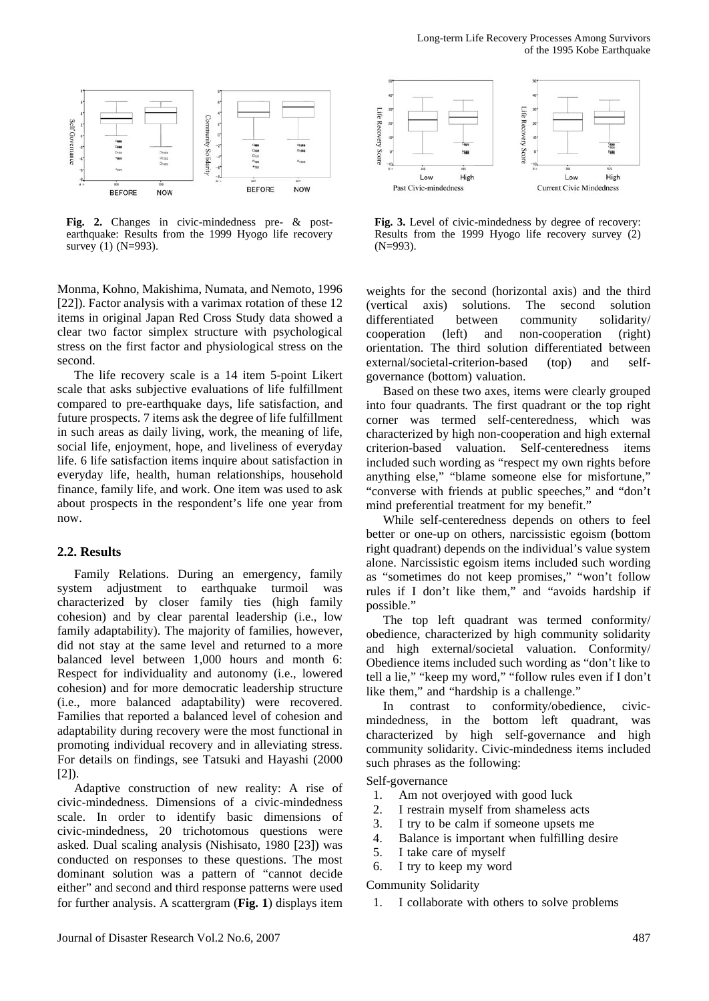



**Fig. 2.** Changes in civic-mindedness pre- & postearthquake: Results from the 1999 Hyogo life recovery survey (1) (N=993).

Monma, Kohno, Makishima, Numata, and Nemoto, 1996 [22]). Factor analysis with a varimax rotation of these 12 items in original Japan Red Cross Study data showed a clear two factor simplex structure with psychological stress on the first factor and physiological stress on the second.

The life recovery scale is a 14 item 5-point Likert scale that asks subjective evaluations of life fulfillment compared to pre-earthquake days, life satisfaction, and future prospects. 7 items ask the degree of life fulfillment in such areas as daily living, work, the meaning of life, social life, enjoyment, hope, and liveliness of everyday life. 6 life satisfaction items inquire about satisfaction in everyday life, health, human relationships, household finance, family life, and work. One item was used to ask about prospects in the respondent's life one year from now.

#### **2.2. Results**

Family Relations. During an emergency, family system adjustment to earthquake turmoil was characterized by closer family ties (high family cohesion) and by clear parental leadership (i.e., low family adaptability). The majority of families, however, did not stay at the same level and returned to a more balanced level between 1,000 hours and month 6: Respect for individuality and autonomy (i.e., lowered cohesion) and for more democratic leadership structure (i.e., more balanced adaptability) were recovered. Families that reported a balanced level of cohesion and adaptability during recovery were the most functional in promoting individual recovery and in alleviating stress. For details on findings, see Tatsuki and Hayashi (2000  $[2]$ ).

Adaptive construction of new reality: A rise of civic-mindedness. Dimensions of a civic-mindedness scale. In order to identify basic dimensions of civic-mindedness, 20 trichotomous questions were asked. Dual scaling analysis (Nishisato, 1980 [23]) was conducted on responses to these questions. The most dominant solution was a pattern of "cannot decide either" and second and third response patterns were used for further analysis. A scattergram (**Fig. 1**) displays item



**Fig. 3.** Level of civic-mindedness by degree of recovery: Results from the 1999 Hyogo life recovery survey (2) (N=993).

weights for the second (horizontal axis) and the third (vertical axis) solutions. The second solution differentiated between community solidarity/ cooperation (left) and non-cooperation (right) orientation. The third solution differentiated between external/societal-criterion-based (top) and selfgovernance (bottom) valuation.

Based on these two axes, items were clearly grouped into four quadrants. The first quadrant or the top right corner was termed self-centeredness, which was characterized by high non-cooperation and high external criterion-based valuation. Self-centeredness items included such wording as "respect my own rights before anything else," "blame someone else for misfortune," "converse with friends at public speeches," and "don't mind preferential treatment for my benefit.'

While self-centeredness depends on others to feel better or one-up on others, narcissistic egoism (bottom right quadrant) depends on the individual's value system alone. Narcissistic egoism items included such wording as "sometimes do not keep promises," "won't follow rules if I don't like them," and "avoids hardship if possible."

The top left quadrant was termed conformity/ obedience, characterized by high community solidarity and high external/societal valuation. Conformity/ Obedience items included such wording as "don't like to tell a lie," "keep my word," "follow rules even if I don't like them," and "hardship is a challenge."

In contrast to conformity/obedience, civicmindedness, in the bottom left quadrant, was characterized by high self-governance and high community solidarity. Civic-mindedness items included such phrases as the following:

Self-governance

- 1. Am not overjoyed with good luck
- 2. I restrain myself from shameless acts
- 3. I try to be calm if someone upsets me
- 4. Balance is important when fulfilling desire
- 5. I take care of myself
- 6. I try to keep my word

Community Solidarity

1. I collaborate with others to solve problems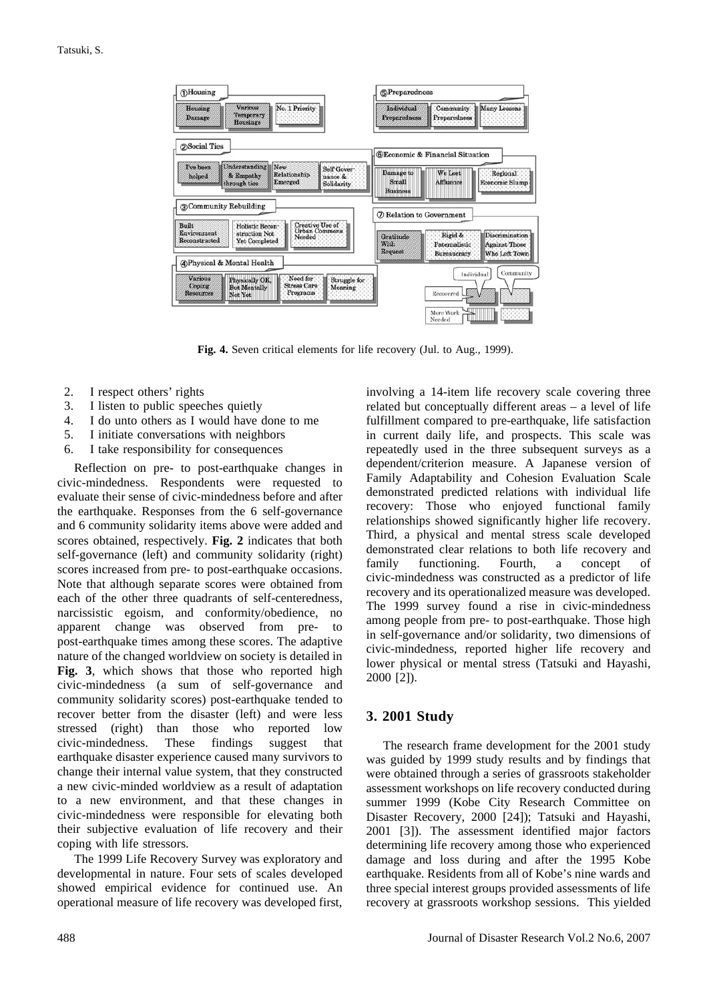

**Fig. 4.** Seven critical elements for life recovery (Jul. to Aug., 1999).

- 2. I respect others' rights
- 3. I listen to public speeches quietly
- 4. I do unto others as I would have done to me
- 5. I initiate conversations with neighbors
- 6. I take responsibility for consequences

Reflection on pre- to post-earthquake changes in civic-mindedness. Respondents were requested to evaluate their sense of civic-mindedness before and after the earthquake. Responses from the 6 self-governance and 6 community solidarity items above were added and scores obtained, respectively. **Fig. 2** indicates that both self-governance (left) and community solidarity (right) scores increased from pre- to post-earthquake occasions. Note that although separate scores were obtained from each of the other three quadrants of self-centeredness, narcissistic egoism, and conformity/obedience, no apparent change was observed from pre- to post-earthquake times among these scores. The adaptive nature of the changed worldview on society is detailed in **Fig. 3**, which shows that those who reported high civic-mindedness (a sum of self-governance and community solidarity scores) post-earthquake tended to recover better from the disaster (left) and were less stressed (right) than those who reported low civic-mindedness. These findings suggest that earthquake disaster experience caused many survivors to change their internal value system, that they constructed a new civic-minded worldview as a result of adaptation to a new environment, and that these changes in civic-mindedness were responsible for elevating both their subjective evaluation of life recovery and their coping with life stressors.

The 1999 Life Recovery Survey was exploratory and developmental in nature. Four sets of scales developed showed empirical evidence for continued use. An operational measure of life recovery was developed first,

involving a 14-item life recovery scale covering three related but conceptually different areas – a level of life fulfillment compared to pre-earthquake, life satisfaction in current daily life, and prospects. This scale was repeatedly used in the three subsequent surveys as a dependent/criterion measure. A Japanese version of Family Adaptability and Cohesion Evaluation Scale demonstrated predicted relations with individual life recovery: Those who enjoyed functional family relationships showed significantly higher life recovery. Third, a physical and mental stress scale developed demonstrated clear relations to both life recovery and family functioning. Fourth, a concept of civic-mindedness was constructed as a predictor of life recovery and its operationalized measure was developed. The 1999 survey found a rise in civic-mindedness among people from pre- to post-earthquake. Those high in self-governance and/or solidarity, two dimensions of civic-mindedness, reported higher life recovery and lower physical or mental stress (Tatsuki and Hayashi, 2000 [2]).

#### **3. 2001 Study**

The research frame development for the 2001 study was guided by 1999 study results and by findings that were obtained through a series of grassroots stakeholder assessment workshops on life recovery conducted during summer 1999 (Kobe City Research Committee on Disaster Recovery, 2000 [24]); Tatsuki and Hayashi, 2001 [3]). The assessment identified major factors determining life recovery among those who experienced damage and loss during and after the 1995 Kobe earthquake. Residents from all of Kobe's nine wards and three special interest groups provided assessments of life recovery at grassroots workshop sessions. This yielded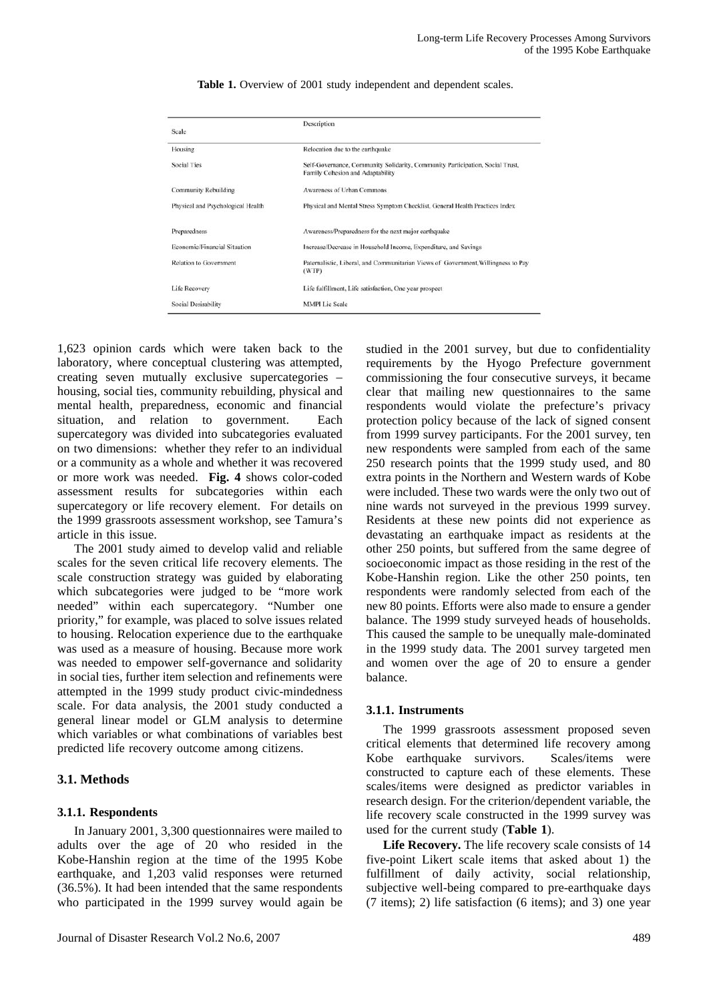| Scale                             | Description                                                                                                       |
|-----------------------------------|-------------------------------------------------------------------------------------------------------------------|
| Housing                           | Relocation due to the earthquake                                                                                  |
|                                   |                                                                                                                   |
| <b>Social Ties</b>                | Self-Governance, Community Solidarity, Community Participation, Social Trust,<br>Family Cohesion and Adaptability |
| <b>Community Rebuilding</b>       | Awareness of Urban Commons                                                                                        |
| Physical and Psychological Health | Physical and Mental Stress Symptom Checklist, General Health Practices Index                                      |
| Preparedness                      | Awareness/Preparedness for the next major earthquake                                                              |
| Economic/Financial Situation      | Increase/Decrease in Household Income, Expenditure, and Savings                                                   |
| <b>Relation to Government</b>     | Paternalistic, Liberal, and Communitarian Views of Government, Willingness to Pay<br>(WTP)                        |
| Life Recovery                     | Life fulfillment, Life satisfaction, One year prospect                                                            |
| Social Desirability               | <b>MMPI</b> Lie Scale                                                                                             |

Table 1. Overview of 2001 study independent and dependent scales.

1,623 opinion cards which were taken back to the laboratory, where conceptual clustering was attempted, creating seven mutually exclusive supercategories – housing, social ties, community rebuilding, physical and mental health, preparedness, economic and financial situation, and relation to government. Each supercategory was divided into subcategories evaluated on two dimensions: whether they refer to an individual or a community as a whole and whether it was recovered or more work was needed. **Fig. 4** shows color-coded assessment results for subcategories within each supercategory or life recovery element. For details on the 1999 grassroots assessment workshop, see Tamura's article in this issue.

The 2001 study aimed to develop valid and reliable scales for the seven critical life recovery elements. The scale construction strategy was guided by elaborating which subcategories were judged to be "more work needed" within each supercategory. "Number one priority," for example, was placed to solve issues related to housing. Relocation experience due to the earthquake was used as a measure of housing. Because more work was needed to empower self-governance and solidarity in social ties, further item selection and refinements were attempted in the 1999 study product civic-mindedness scale. For data analysis, the 2001 study conducted a general linear model or GLM analysis to determine which variables or what combinations of variables best predicted life recovery outcome among citizens.

#### **3.1. Methods**

#### **3.1.1. Respondents**

In January 2001, 3,300 questionnaires were mailed to adults over the age of 20 who resided in the Kobe-Hanshin region at the time of the 1995 Kobe earthquake, and 1,203 valid responses were returned (36.5%). It had been intended that the same respondents who participated in the 1999 survey would again be

studied in the 2001 survey, but due to confidentiality requirements by the Hyogo Prefecture government commissioning the four consecutive surveys, it became clear that mailing new questionnaires to the same respondents would violate the prefecture's privacy protection policy because of the lack of signed consent from 1999 survey participants. For the 2001 survey, ten new respondents were sampled from each of the same 250 research points that the 1999 study used, and 80 extra points in the Northern and Western wards of Kobe were included. These two wards were the only two out of nine wards not surveyed in the previous 1999 survey. Residents at these new points did not experience as devastating an earthquake impact as residents at the other 250 points, but suffered from the same degree of socioeconomic impact as those residing in the rest of the Kobe-Hanshin region. Like the other 250 points, ten respondents were randomly selected from each of the new 80 points. Efforts were also made to ensure a gender balance. The 1999 study surveyed heads of households. This caused the sample to be unequally male-dominated in the 1999 study data. The 2001 survey targeted men and women over the age of 20 to ensure a gender balance.

#### **3.1.1. Instruments**

The 1999 grassroots assessment proposed seven critical elements that determined life recovery among Kobe earthquake survivors. Scales/items were constructed to capture each of these elements. These scales/items were designed as predictor variables in research design. For the criterion/dependent variable, the life recovery scale constructed in the 1999 survey was used for the current study (**Table 1**).

**Life Recovery.** The life recovery scale consists of 14 five-point Likert scale items that asked about 1) the fulfillment of daily activity, social relationship, subjective well-being compared to pre-earthquake days (7 items); 2) life satisfaction (6 items); and 3) one year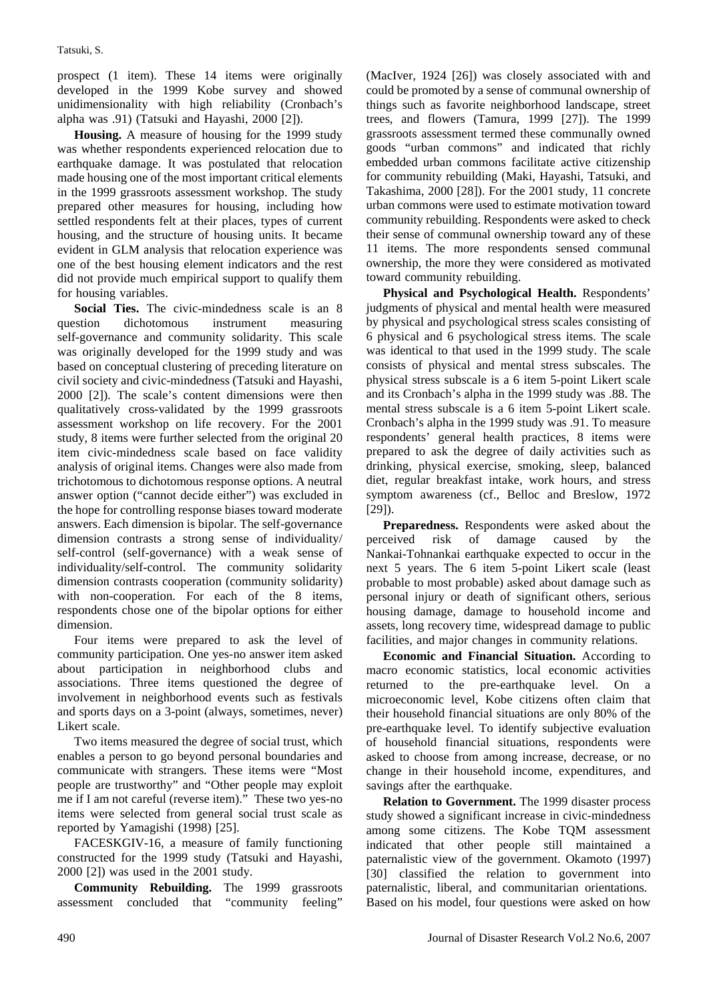prospect (1 item). These 14 items were originally developed in the 1999 Kobe survey and showed unidimensionality with high reliability (Cronbach's alpha was .91) (Tatsuki and Hayashi, 2000 [2]).

**Housing.** A measure of housing for the 1999 study was whether respondents experienced relocation due to earthquake damage. It was postulated that relocation made housing one of the most important critical elements in the 1999 grassroots assessment workshop. The study prepared other measures for housing, including how settled respondents felt at their places, types of current housing, and the structure of housing units. It became evident in GLM analysis that relocation experience was one of the best housing element indicators and the rest did not provide much empirical support to qualify them for housing variables.

**Social Ties.** The civic-mindedness scale is an 8 question dichotomous instrument measuring self-governance and community solidarity. This scale was originally developed for the 1999 study and was based on conceptual clustering of preceding literature on civil society and civic-mindedness (Tatsuki and Hayashi, 2000 [2]). The scale's content dimensions were then qualitatively cross-validated by the 1999 grassroots assessment workshop on life recovery. For the 2001 study, 8 items were further selected from the original 20 item civic-mindedness scale based on face validity analysis of original items. Changes were also made from trichotomous to dichotomous response options. A neutral answer option ("cannot decide either") was excluded in the hope for controlling response biases toward moderate answers. Each dimension is bipolar. The self-governance dimension contrasts a strong sense of individuality/ self-control (self-governance) with a weak sense of individuality/self-control. The community solidarity dimension contrasts cooperation (community solidarity) with non-cooperation. For each of the 8 items, respondents chose one of the bipolar options for either dimension.

Four items were prepared to ask the level of community participation. One yes-no answer item asked about participation in neighborhood clubs and associations. Three items questioned the degree of involvement in neighborhood events such as festivals and sports days on a 3-point (always, sometimes, never) Likert scale.

Two items measured the degree of social trust, which enables a person to go beyond personal boundaries and communicate with strangers. These items were "Most people are trustworthy" and "Other people may exploit me if I am not careful (reverse item)." These two yes-no items were selected from general social trust scale as reported by Yamagishi (1998) [25].

FACESKGIV-16, a measure of family functioning constructed for the 1999 study (Tatsuki and Hayashi, 2000 [2]) was used in the 2001 study.

**Community Rebuilding.** The 1999 grassroots assessment concluded that "community feeling"

(MacIver, 1924 [26]) was closely associated with and could be promoted by a sense of communal ownership of things such as favorite neighborhood landscape, street trees, and flowers (Tamura, 1999 [27]). The 1999 grassroots assessment termed these communally owned goods "urban commons" and indicated that richly embedded urban commons facilitate active citizenship for community rebuilding (Maki, Hayashi, Tatsuki, and Takashima, 2000 [28]). For the 2001 study, 11 concrete urban commons were used to estimate motivation toward community rebuilding. Respondents were asked to check their sense of communal ownership toward any of these 11 items. The more respondents sensed communal ownership, the more they were considered as motivated toward community rebuilding.

**Physical and Psychological Health.** Respondents' judgments of physical and mental health were measured by physical and psychological stress scales consisting of 6 physical and 6 psychological stress items. The scale was identical to that used in the 1999 study. The scale consists of physical and mental stress subscales. The physical stress subscale is a 6 item 5-point Likert scale and its Cronbach's alpha in the 1999 study was .88. The mental stress subscale is a 6 item 5-point Likert scale. Cronbach's alpha in the 1999 study was .91. To measure respondents' general health practices, 8 items were prepared to ask the degree of daily activities such as drinking, physical exercise, smoking, sleep, balanced diet, regular breakfast intake, work hours, and stress symptom awareness (cf., Belloc and Breslow, 1972 [29]).

**Preparedness.** Respondents were asked about the perceived risk of damage caused by the Nankai-Tohnankai earthquake expected to occur in the next 5 years. The 6 item 5-point Likert scale (least probable to most probable) asked about damage such as personal injury or death of significant others, serious housing damage, damage to household income and assets, long recovery time, widespread damage to public facilities, and major changes in community relations.

**Economic and Financial Situation.** According to macro economic statistics, local economic activities returned to the pre-earthquake level. On a microeconomic level, Kobe citizens often claim that their household financial situations are only 80% of the pre-earthquake level. To identify subjective evaluation of household financial situations, respondents were asked to choose from among increase, decrease, or no change in their household income, expenditures, and savings after the earthquake.

**Relation to Government.** The 1999 disaster process study showed a significant increase in civic-mindedness among some citizens. The Kobe TQM assessment indicated that other people still maintained a paternalistic view of the government. Okamoto (1997) [30] classified the relation to government into paternalistic, liberal, and communitarian orientations. Based on his model, four questions were asked on how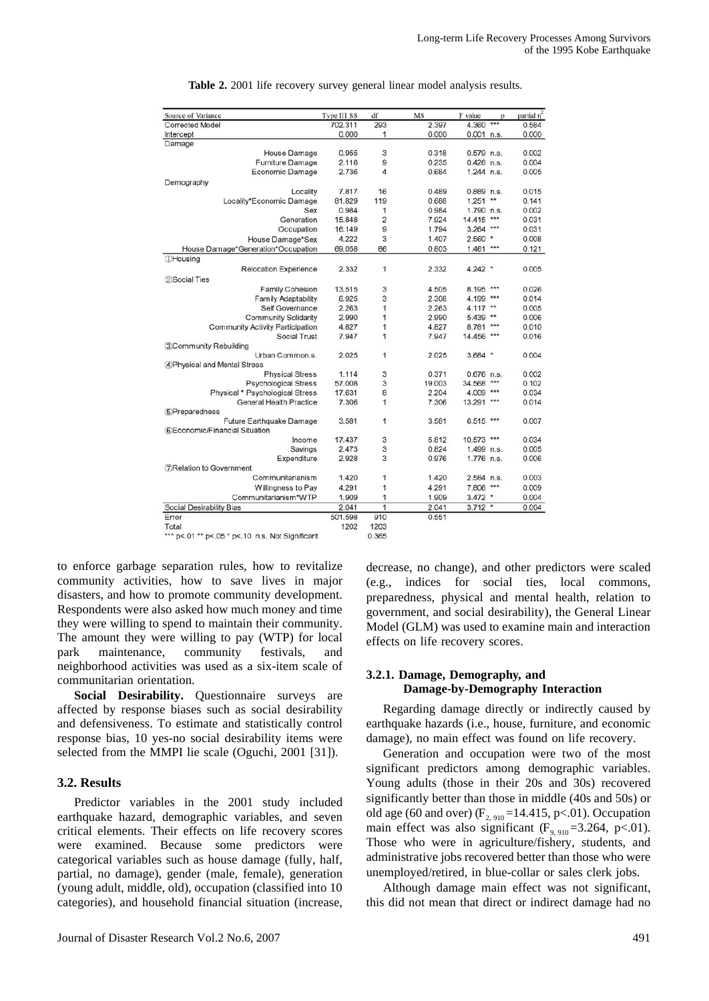| Source of Variance                      | Type III SS | df             | MS     | F value      | p        | partial n <sup>2</sup> |
|-----------------------------------------|-------------|----------------|--------|--------------|----------|------------------------|
| Corrected Model                         | 702.311     | 293            | 2.397  | 4.360 ***    |          | 0.584                  |
| Intercept                               | 0.000       | 1              | 0.000  | $0.001$ n.s. |          | 0.000                  |
| Damage                                  |             |                |        |              |          |                        |
| House Damage                            | 0.955       | 3              | 0.318  | $0.579$ n.s. |          | 0.002                  |
| Furniture Damage                        | 2.116       | 9              | 0.235  | $0.428$ n.s. |          | 0.004                  |
| Economic Damage                         | 2.736       | 4              | 0.684  | $1.244$ n.s. |          | 0.005                  |
| Demography                              |             |                |        |              |          |                        |
| Locality                                | 7.817       | 16             | 0.489  | $0.889$ n.s. |          | 0.015                  |
| Locality*Economic Damage                | 81.829      | 119            | 0.688  | $1.251$ **   |          | 0.141                  |
| Sex                                     | 0.984       | 1              | 0.984  | 1.790 n.s.   |          | 0.002                  |
| Generation                              | 15.848      | $\overline{2}$ | 7.924  | 14.415 ***   |          | 0.031                  |
| Occupation                              | 16.149      | 9              | 1.794  | $3.264$ ***  |          | 0.031                  |
| House Damage*Sex                        | 4.222       | 3              | 1.407  | $2.560$ *    |          | 0.008                  |
| House Damage*Generation*Occupation      | 69.058      | 86             | 0.803  | $1.461$ ***  |          | 0.121                  |
| <b><i>DHousing</i></b>                  |             |                |        |              |          |                        |
| <b>Relocation Experience</b>            | 2.332       | 1              | 2.332  | $4.242$ *    |          | 0.005                  |
| 2 Social Ties                           |             |                |        |              |          |                        |
| <b>Family Cohesion</b>                  | 13.515      | 3              | 4.505  | 8.195 ***    |          | 0.026                  |
| <b>Family Adaptability</b>              | 6.925       | 3              | 2.308  | 4.199 ***    |          | 0.014                  |
| Self Governance                         | 2.263       | 1              | 2.263  | $4.117$ **   |          | 0.005                  |
| <b>Community Solidarity</b>             | 2.990       | 1              | 2.990  | $5.439$ **   |          | 0.006                  |
| <b>Community Activity Participation</b> | 4.827       | 1              | 4.827  | 8.781 ***    |          | 0.010                  |
| Social Trust                            | 7.947       | 1              | 7.947  | 14.456 ***   |          |                        |
| 3Community Rebuilding                   |             |                |        |              |          | 0.016                  |
| Urban Common.s.                         | 2.025       | 1              | 2.025  | $3.684$ *    |          | 0.004                  |
|                                         |             |                |        |              |          |                        |
| 4 Physical and Mental Stress            |             |                |        |              |          |                        |
| <b>Physical Stress</b>                  | 1.114       | 3<br>3         | 0.371  | $0.676$ n.s. | $***$    | 0.002                  |
| <b>Psychological Stress</b>             | 57,008      |                | 19.003 | 34.568       |          | 0.102                  |
| Physical * Psychological Stress         | 17.631      | 8              | 2.204  | 4.009 ***    |          | 0.034                  |
| General Health Practice                 | 7.306       | 1              | 7.306  | 13.291 ***   |          | 0.014                  |
| 5Preparedness                           |             |                |        |              |          |                        |
| Future Earthquake Damage                | 3.581       | 1              | 3.581  | $6.515***$   |          | 0.007                  |
| 6 Economic/Financial Situation          |             |                |        |              |          |                        |
| Income                                  | 17.437      | 3              | 5.812  | 10.573 ***   |          | 0.034                  |
| Savings                                 | 2.473       | 3              | 0.824  | 1.499 n.s.   |          | 0.005                  |
| Expenditure                             | 2.928       | 3              | 0.976  | 1.776 n.s.   |          | 0.006                  |
| <b>7</b> Relation to Government         |             |                |        |              |          |                        |
| Communitarianism                        | 1.420       | 1              | 1.420  | 2.584 n.s.   |          | 0.003                  |
| Willingness to Pay                      | 4.291       | 1              | 4.291  | 7.806 ***    |          | 0.009                  |
| Communitarianism*WTP                    | 1.909       | 1              | 1.909  | $3.472$ *    |          | 0.004                  |
| Social Desirability Bias                | 2.041       | 1              | 2.041  | 3.712        | $^\star$ | 0.004                  |
| Error                                   | 501.598     | 910            | 0.551  |              |          |                        |
| Total                                   | 1202        | 1203           |        |              |          |                        |

**Table 2.** 2001 life recovery survey general linear model analysis results.

\*\*\* p<.01 \*\* p<.05 \* p<.10 n.s. Not Significant

0.365

to enforce garbage separation rules, how to revitalize community activities, how to save lives in major disasters, and how to promote community development. Respondents were also asked how much money and time they were willing to spend to maintain their community. The amount they were willing to pay (WTP) for local park maintenance, community festivals, and neighborhood activities was used as a six-item scale of communitarian orientation.

**Social Desirability.** Questionnaire surveys are affected by response biases such as social desirability and defensiveness. To estimate and statistically control response bias, 10 yes-no social desirability items were selected from the MMPI lie scale (Oguchi, 2001 [31]).

#### **3.2. Results**

Predictor variables in the 2001 study included earthquake hazard, demographic variables, and seven critical elements. Their effects on life recovery scores were examined. Because some predictors were categorical variables such as house damage (fully, half, partial, no damage), gender (male, female), generation (young adult, middle, old), occupation (classified into 10 categories), and household financial situation (increase, decrease, no change), and other predictors were scaled (e.g., indices for social ties, local commons, preparedness, physical and mental health, relation to government, and social desirability), the General Linear Model (GLM) was used to examine main and interaction effects on life recovery scores.

#### **3.2.1. Damage, Demography, and Damage-by-Demography Interaction**

Regarding damage directly or indirectly caused by earthquake hazards (i.e., house, furniture, and economic damage), no main effect was found on life recovery.

Generation and occupation were two of the most significant predictors among demographic variables. Young adults (those in their 20s and 30s) recovered significantly better than those in middle (40s and 50s) or old age (60 and over)  $(F_{2, 910} = 14.415, p < .01)$ . Occupation main effect was also significant ( $F_{9,910}$ =3.264, p<.01). Those who were in agriculture/fishery, students, and administrative jobs recovered better than those who were unemployed/retired, in blue-collar or sales clerk jobs.

Although damage main effect was not significant, this did not mean that direct or indirect damage had no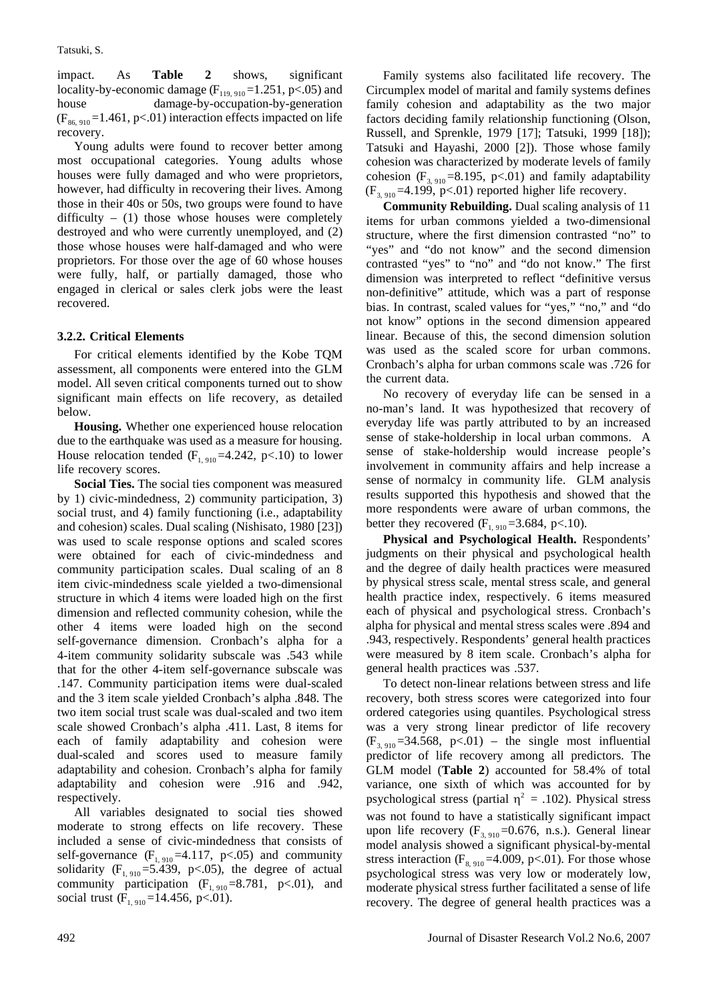impact. As **Table 2** shows, significant locality-by-economic damage  $(F_{119, 910} = 1.251, p < .05)$  and<br>house damage-by-occupation-by-generation damage-by-occupation-by-generation  $(F_{86, 910} = 1.461, p<0.1)$  interaction effects impacted on life recovery.

Young adults were found to recover better among most occupational categories. Young adults whose houses were fully damaged and who were proprietors, however, had difficulty in recovering their lives. Among those in their 40s or 50s, two groups were found to have difficulty –  $(1)$  those whose houses were completely destroyed and who were currently unemployed, and (2) those whose houses were half-damaged and who were proprietors. For those over the age of 60 whose houses were fully, half, or partially damaged, those who engaged in clerical or sales clerk jobs were the least recovered.

#### **3.2.2. Critical Elements**

For critical elements identified by the Kobe TQM assessment, all components were entered into the GLM model. All seven critical components turned out to show significant main effects on life recovery, as detailed below.

**Housing.** Whether one experienced house relocation due to the earthquake was used as a measure for housing. House relocation tended  $(F<sub>1, 910</sub>=4.242, p<.10)$  to lower life recovery scores.

**Social Ties.** The social ties component was measured by 1) civic-mindedness, 2) community participation, 3) social trust, and 4) family functioning (i.e., adaptability and cohesion) scales. Dual scaling (Nishisato, 1980 [23]) was used to scale response options and scaled scores were obtained for each of civic-mindedness and community participation scales. Dual scaling of an 8 item civic-mindedness scale yielded a two-dimensional structure in which 4 items were loaded high on the first dimension and reflected community cohesion, while the other 4 items were loaded high on the second self-governance dimension. Cronbach's alpha for a 4-item community solidarity subscale was .543 while that for the other 4-item self-governance subscale was .147. Community participation items were dual-scaled and the 3 item scale yielded Cronbach's alpha .848. The two item social trust scale was dual-scaled and two item scale showed Cronbach's alpha .411. Last, 8 items for each of family adaptability and cohesion were dual-scaled and scores used to measure family adaptability and cohesion. Cronbach's alpha for family adaptability and cohesion were .916 and .942, respectively.

All variables designated to social ties showed moderate to strong effects on life recovery. These included a sense of civic-mindedness that consists of self-governance  $(F<sub>1, 910</sub>=4.117, p<.05)$  and community solidarity ( $F_{1, 910} = 5.439$ , p<.05), the degree of actual community participation  $(F<sub>1, 910</sub>=8.781, p<.01)$ , and social trust  $(F<sub>1, 910</sub> = 14.456, p<0.01)$ .

Family systems also facilitated life recovery. The Circumplex model of marital and family systems defines family cohesion and adaptability as the two major factors deciding family relationship functioning (Olson, Russell, and Sprenkle, 1979 [17]; Tatsuki, 1999 [18]); Tatsuki and Hayashi, 2000 [2]). Those whose family cohesion was characterized by moderate levels of family cohesion ( $F_{3, 910}$ =8.195, p<.01) and family adaptability  $(F_{3, 910} = 4.199, p<01)$  reported higher life recovery.

**Community Rebuilding.** Dual scaling analysis of 11 items for urban commons yielded a two-dimensional structure, where the first dimension contrasted "no" to "yes" and "do not know" and the second dimension contrasted "yes" to "no" and "do not know." The first dimension was interpreted to reflect "definitive versus non-definitive" attitude, which was a part of response bias. In contrast, scaled values for "yes," "no," and "do not know" options in the second dimension appeared linear. Because of this, the second dimension solution was used as the scaled score for urban commons. Cronbach's alpha for urban commons scale was .726 for the current data.

No recovery of everyday life can be sensed in a no-man's land. It was hypothesized that recovery of everyday life was partly attributed to by an increased sense of stake-holdership in local urban commons. A sense of stake-holdership would increase people's involvement in community affairs and help increase a sense of normalcy in community life. GLM analysis results supported this hypothesis and showed that the more respondents were aware of urban commons, the better they recovered  $(F_{1, 910} = 3.684, p < .10)$ .

**Physical and Psychological Health.** Respondents' judgments on their physical and psychological health and the degree of daily health practices were measured by physical stress scale, mental stress scale, and general health practice index, respectively. 6 items measured each of physical and psychological stress. Cronbach's alpha for physical and mental stress scales were .894 and .943, respectively. Respondents' general health practices were measured by 8 item scale. Cronbach's alpha for general health practices was .537.

To detect non-linear relations between stress and life recovery, both stress scores were categorized into four ordered categories using quantiles. Psychological stress was a very strong linear predictor of life recovery  $(F_{3,910}=34.568, p<.01)$  – the single most influential predictor of life recovery among all predictors. The GLM model (**Table 2**) accounted for 58.4% of total variance, one sixth of which was accounted for by psychological stress (partial  $^2 = .102$ ). Physical stress was not found to have a statistically significant impact upon life recovery  $(F_{3, 910} = 0.676, n.s.).$  General linear model analysis showed a significant physical-by-mental stress interaction ( $F_{8, 910}$ =4.009, p<.01). For those whose psychological stress was very low or moderately low, moderate physical stress further facilitated a sense of life recovery. The degree of general health practices was a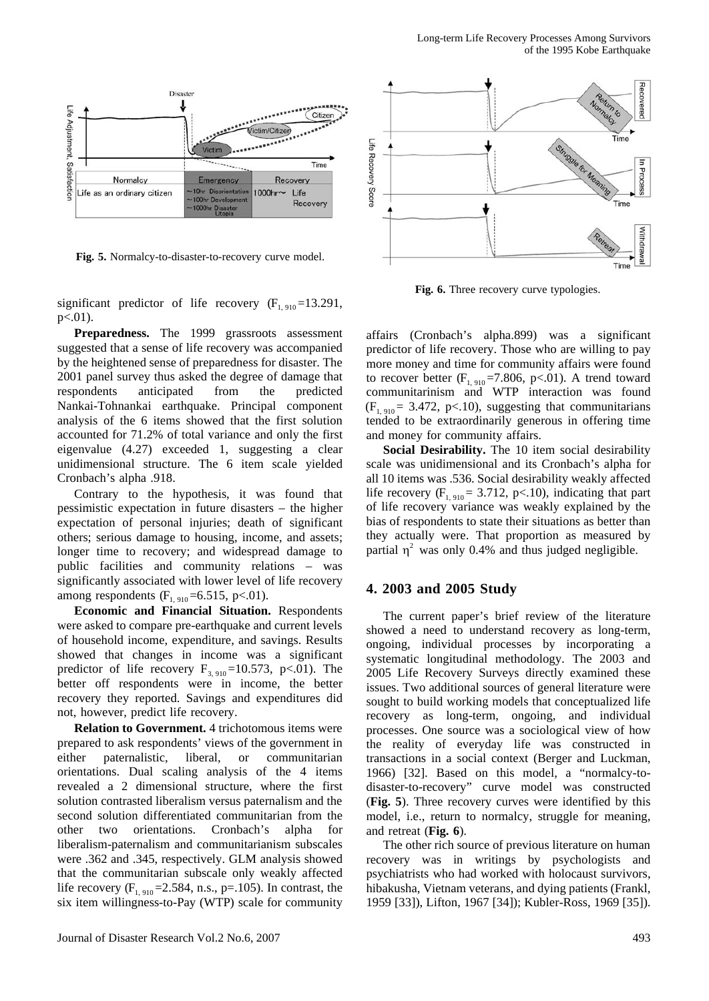

**Fig. 5.** Normalcy-to-disaster-to-recovery curve model.

significant predictor of life recovery  $(F<sub>1, 910</sub>=13.291)$ , p<.01).

**Preparedness.** The 1999 grassroots assessment suggested that a sense of life recovery was accompanied by the heightened sense of preparedness for disaster. The 2001 panel survey thus asked the degree of damage that respondents anticipated from the predicted Nankai-Tohnankai earthquake. Principal component analysis of the 6 items showed that the first solution accounted for 71.2% of total variance and only the first eigenvalue (4.27) exceeded 1, suggesting a clear unidimensional structure. The 6 item scale yielded Cronbach's alpha .918.

Contrary to the hypothesis, it was found that pessimistic expectation in future disasters – the higher expectation of personal injuries; death of significant others; serious damage to housing, income, and assets; longer time to recovery; and widespread damage to public facilities and community relations – was significantly associated with lower level of life recovery among respondents  $(F_{1, 910} = 6.515, p < 01)$ .

**Economic and Financial Situation.** Respondents were asked to compare pre-earthquake and current levels of household income, expenditure, and savings. Results showed that changes in income was a significant predictor of life recovery  $F_{3, 910}$ =10.573, p<.01). The better off respondents were in income, the better recovery they reported. Savings and expenditures did not, however, predict life recovery.

**Relation to Government.** 4 trichotomous items were prepared to ask respondents' views of the government in either paternalistic, liberal, or communitarian orientations. Dual scaling analysis of the 4 items revealed a 2 dimensional structure, where the first solution contrasted liberalism versus paternalism and the second solution differentiated communitarian from the other two orientations. Cronbach's alpha for liberalism-paternalism and communitarianism subscales were .362 and .345, respectively. GLM analysis showed that the communitarian subscale only weakly affected life recovery  $(F_{1, 910} = 2.584, n.s., p = .105)$ . In contrast, the six item willingness-to-Pay (WTP) scale for community



**Fig. 6.** Three recovery curve typologies.

affairs (Cronbach's alpha.899) was a significant predictor of life recovery. Those who are willing to pay more money and time for community affairs were found to recover better  $(F_{1, 910} = 7.806, p < .01)$ . A trend toward communitarinism and WTP interaction was found  $(F_{1, 910} = 3.472, p<.10)$ , suggesting that communitarians tended to be extraordinarily generous in offering time and money for community affairs.

**Social Desirability.** The 10 item social desirability scale was unidimensional and its Cronbach's alpha for all 10 items was .536. Social desirability weakly affected life recovery  $(F<sub>1, 910</sub> = 3.712, p<.10)$ , indicating that part of life recovery variance was weakly explained by the bias of respondents to state their situations as better than they actually were. That proportion as measured by partial  $\frac{2}{3}$  was only 0.4% and thus judged negligible.

#### **4. 2003 and 2005 Study**

The current paper's brief review of the literature showed a need to understand recovery as long-term, ongoing, individual processes by incorporating a systematic longitudinal methodology. The 2003 and 2005 Life Recovery Surveys directly examined these issues. Two additional sources of general literature were sought to build working models that conceptualized life recovery as long-term, ongoing, and individual processes. One source was a sociological view of how the reality of everyday life was constructed in transactions in a social context (Berger and Luckman, 1966) [32]. Based on this model, a "normalcy-todisaster-to-recovery" curve model was constructed (**Fig. 5**). Three recovery curves were identified by this model, i.e., return to normalcy, struggle for meaning, and retreat (**Fig. 6**).

The other rich source of previous literature on human recovery was in writings by psychologists and psychiatrists who had worked with holocaust survivors, hibakusha, Vietnam veterans, and dying patients (Frankl, 1959 [33]), Lifton, 1967 [34]); Kubler-Ross, 1969 [35]).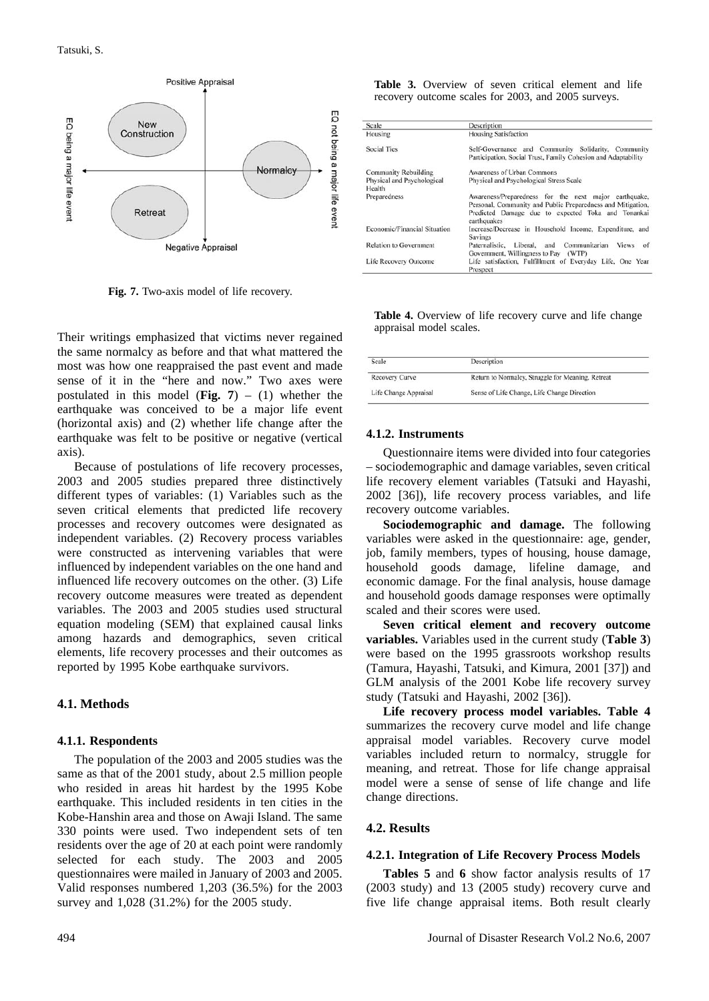

**Fig. 7.** Two-axis model of life recovery.

Their writings emphasized that victims never regained the same normalcy as before and that what mattered the most was how one reappraised the past event and made sense of it in the "here and now." Two axes were postulated in this model (**Fig. 7**) – (1) whether the earthquake was conceived to be a major life event (horizontal axis) and (2) whether life change after the earthquake was felt to be positive or negative (vertical axis).

Because of postulations of life recovery processes, 2003 and 2005 studies prepared three distinctively different types of variables: (1) Variables such as the seven critical elements that predicted life recovery processes and recovery outcomes were designated as independent variables. (2) Recovery process variables were constructed as intervening variables that were influenced by independent variables on the one hand and influenced life recovery outcomes on the other. (3) Life recovery outcome measures were treated as dependent variables. The 2003 and 2005 studies used structural equation modeling (SEM) that explained causal links among hazards and demographics, seven critical elements, life recovery processes and their outcomes as reported by 1995 Kobe earthquake survivors.

#### **4.1. Methods**

#### **4.1.1. Respondents**

The population of the 2003 and 2005 studies was the same as that of the 2001 study, about 2.5 million people who resided in areas hit hardest by the 1995 Kobe earthquake. This included residents in ten cities in the Kobe-Hanshin area and those on Awaji Island. The same 330 points were used. Two independent sets of ten residents over the age of 20 at each point were randomly selected for each study. The 2003 and 2005 questionnaires were mailed in January of 2003 and 2005. Valid responses numbered 1,203 (36.5%) for the 2003 survey and 1,028 (31.2%) for the 2005 study.

Table 3. Overview of seven critical element and life recovery outcome scales for 2003, and 2005 surveys.

| Scale                         | Description                                                                                                                                                                               |  |  |  |  |
|-------------------------------|-------------------------------------------------------------------------------------------------------------------------------------------------------------------------------------------|--|--|--|--|
| Housing                       | <b>Housing Satisfaction</b>                                                                                                                                                               |  |  |  |  |
| <b>Social Ties</b>            | Self-Governance and Community Solidarity, Community<br>Participation, Social Trust, Family Cohesion and Adaptability                                                                      |  |  |  |  |
| <b>Community Rebuilding</b>   | Awareness of Urban Commons                                                                                                                                                                |  |  |  |  |
| Physical and Psychological    | Physical and Psychological Stress Scale                                                                                                                                                   |  |  |  |  |
| Health                        |                                                                                                                                                                                           |  |  |  |  |
| Preparedness                  | Awareness/Preparedness for the next major earthquake,<br>Personal, Community and Public Preparedness and Mitigation,<br>Predicted Damage due to expected Toka and Tonankai<br>earthquakes |  |  |  |  |
| Economic/Financial Situation  | Increase/Decrease in Household Income, Expenditure, and<br>Savings                                                                                                                        |  |  |  |  |
| <b>Relation to Government</b> | Communitarian Views of<br>Paternalistic, Liberal, and<br>Government, Willingness to Pay (WTP)                                                                                             |  |  |  |  |
| Life Recovery Outcome         | Life satisfaction, Fulfillment of Everyday Life, One Year<br>Prospect                                                                                                                     |  |  |  |  |

**Table 4.** Overview of life recovery curve and life change appraisal model scales.

| Scale                 | Description                                       |
|-----------------------|---------------------------------------------------|
| <b>Recovery Curve</b> | Return to Normalcy, Struggle for Meaning, Retreat |
| Life Change Appraisal | Sense of Life Change, Life Change Direction       |

#### **4.1.2. Instruments**

Questionnaire items were divided into four categories – sociodemographic and damage variables, seven critical life recovery element variables (Tatsuki and Hayashi, 2002 [36]), life recovery process variables, and life recovery outcome variables.

**Sociodemographic and damage.** The following variables were asked in the questionnaire: age, gender, job, family members, types of housing, house damage, household goods damage, lifeline damage, and economic damage. For the final analysis, house damage and household goods damage responses were optimally scaled and their scores were used.

**Seven critical element and recovery outcome variables.** Variables used in the current study (**Table 3**) were based on the 1995 grassroots workshop results (Tamura, Hayashi, Tatsuki, and Kimura, 2001 [37]) and GLM analysis of the 2001 Kobe life recovery survey study (Tatsuki and Hayashi, 2002 [36]).

**Life recovery process model variables. Table 4** summarizes the recovery curve model and life change appraisal model variables. Recovery curve model variables included return to normalcy, struggle for meaning, and retreat. Those for life change appraisal model were a sense of sense of life change and life change directions.

#### **4.2. Results**

#### **4.2.1. Integration of Life Recovery Process Models**

**Tables 5** and **6** show factor analysis results of 17 (2003 study) and 13 (2005 study) recovery curve and five life change appraisal items. Both result clearly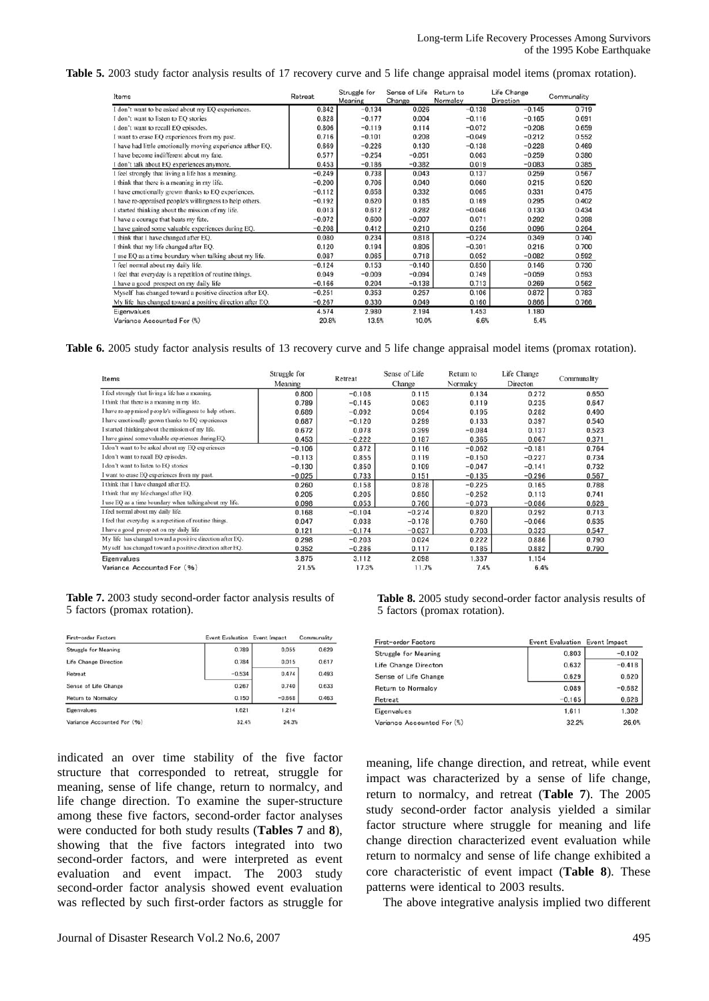**Table 5.** 2003 study factor analysis results of 17 recovery curve and 5 life change appraisal model items (promax rotation).

| Items                                                      | Retreat  | Struggle for<br>Meaning | Sense of Life<br>Change | Return to<br>Normalcy | Life Change<br>Direction | Communality |
|------------------------------------------------------------|----------|-------------------------|-------------------------|-----------------------|--------------------------|-------------|
| I don't want to be asked about my EQ experiences.          | 0.842    | $-0.134$                | 0.026                   | $-0.138$              | $-0.145$                 | 0.719       |
| I don't want to listen to EO stories                       | 0.828    | $-0.177$                | 0.004                   | $-0.116$              | $-0.165$                 | 0.691       |
| I don't want to recall EQ episodes.                        | 0.806    | $-0.119$                | 0.114                   | $-0.072$              | $-0.208$                 | 0.659       |
| I want to erase EQ experiences from my past.               | 0.716    | $-0.101$                | 0.208                   | $-0.049$              | $-0.212$                 | 0.552       |
| I have had little emotionally moving experience afther EQ. | 0.669    | $-0.226$                | 0.130                   | $-0.138$              | $-0.228$                 | 0.469       |
| I have become indifferent about my fate.                   | 0.577    | $-0.254$                | $-0.051$                | 0.063                 | $-0.259$                 | 0.380       |
| I don't talk about EQ experiences anymore.                 | 0.453    | $-0.186$                | $-0.382$                | 0.019                 | $-0.083$                 | 0.385       |
| I feel strongly that living a life has a meaning.          | $-0.249$ | 0.738                   | 0.043                   | 0.137                 | 0.259                    | 0.567       |
| I think that there is a meaning in my life.                | $-0.200$ | 0.706                   | 0.040                   | 0.060                 | 0.215                    | 0.520       |
| I have emotionally grown thanks to EQ experiences.         | $-0.112$ | 0.658                   | 0.332                   | 0.065                 | 0.331                    | 0.475       |
| I have re-appraised people's willingness to help others.   | $-0.192$ | 0.620                   | 0.185                   | 0.169                 | 0.295                    | 0.402       |
| I started thinking about the mission of my life.           | 0.013    | 0.612                   | 0.282                   | $-0.046$              | 0.130                    | 0.434       |
| I have a courage that beats my fate.                       | $-0.072$ | 0.600                   | $-0.007$                | 0.071                 | 0.292                    | 0.398       |
| I have gained some valuable experiences during EQ.         | $-0.208$ | 0.412                   | 0.210                   | 0.256                 | 0.096                    | 0.264       |
| I think that I have changed after EQ.                      | 0.080    | 0.234                   | 0.818                   | $-0.224$              | 0.349                    | 0.740       |
| I think that my life changed after EQ.                     | 0.120    | 0.194                   | 0.806                   | $-0.301$              | 0.216                    | 0.700       |
| I use EQ as a time boundary when talking about my life.    | 0.087    | 0.065                   | 0.718                   | 0.052                 | $-0.082$                 | 0.592       |
| I feel normal about my daily life.                         | $-0.124$ | 0.153                   | $-0.140$                | 0.850                 | 0.146                    | 0.730       |
| I feel that everyday is a repetition of routine things.    | 0.049    | $-0.009$                | $-0.094$                | 0.749                 | $-0.059$                 | 0.593       |
| I have a good prospect on my daily life                    | $-0.166$ | 0.204                   | $-0.138$                | 0.713                 | 0.269                    | 0.562       |
| Myself has changed toward a positive direction after EQ.   | $-0.251$ | 0.353                   | 0.257                   | 0.106                 | 0.872                    | 0.783       |
| My life has changed toward a positive direction after EQ.  | $-0.267$ | 0.330                   | 0.049                   | 0.160                 | 0.866                    | 0.766       |
| Eigenvalues                                                | 4.574    | 2.980                   | 2.194                   | 1.453                 | 1.180                    |             |
| Variance Accounted For (%)                                 | 20.8%    | 13.5%                   | 10.0%                   | 6.6%                  | 5.4%                     |             |

**Table 6.** 2005 study factor analysis results of 13 recovery curve and 5 life change appraisal model items (promax rotation).

| Items                                                     | Struggle for<br>Meaning | Retreat  | Sense of Life<br>Change | Return to<br>Normalcy | Life Change<br>Directon | Communality |
|-----------------------------------------------------------|-------------------------|----------|-------------------------|-----------------------|-------------------------|-------------|
| I feel strongly that living a life has a meaning.         | 0,800                   | $-0.108$ | 0.115                   | 0.134                 | 0.272                   | 0.650       |
| I think that there is a meaning in my life.               | 0.789                   | $-0.145$ | 0.063                   | 0.119                 | 0.235                   | 0.647       |
| I have re-appraised people's willingness to help others.  | 0.689                   | $-0.092$ | 0.094                   | 0.195                 | 0.282                   | 0.490       |
| I have emotionally grown thanks to EQ experiences         | 0.687                   | $-0.120$ | 0.299                   | 0.133                 | 0.397                   | 0.540       |
| I started thinking about the mission of my life.          | 0.672                   | 0.078    | 0.399                   | $-0.084$              | 0.137                   | 0.523       |
| I have gained some valuable experiences during EQ.        | 0.453                   | $-0.222$ | 0.187                   | 0.365                 | 0.067                   | 0.371       |
| I don't want to be asked about my EQ experiences          | $-0.106$                | 0.872    | 0.116                   | $-0.062$              | $-0.181$                | 0.764       |
| I don't want to recall EO episodes.                       | $-0.113$                | 0.855    | 0.119                   | $-0.150$              | $-0.227$                | 0.734       |
| I don't want to listen to EQ stories                      | $-0.130$                | 0.850    | 0.109                   | $-0.047$              | $-0.141$                | 0.732       |
| I want to erase EQ experiences from my past.              | $-0.025$                | 0.733    | 0.151                   | $-0.135$              | $-0.296$                | 0.567       |
| I think that I have changed after EQ.                     | 0.260                   | 0.158    | 0.878                   | $-0.225$              | 0.165                   | 0.788       |
| I think that my life changed after EQ.                    | 0.205                   | 0.205    | 0.850                   | $-0.252$              | 0.113                   | 0.741       |
| I use EQ as a time boundary when talking about my life.   | 0.098                   | 0.053    | 0.760                   | $-0.073$              | $-0.086$                | 0.628       |
| I feel normal about my daily life.                        | 0.168                   | $-0.104$ | $-0.274$                | 0.820                 | 0.292                   | 0.713       |
| I feel that everyday is a repetition of routine things.   | 0.047                   | 0.038    | $-0.178$                | 0.760                 | $-0.066$                | 0.635       |
| I have a good prospect on my daily life                   | 0.121                   | $-0.174$ | $-0.037$                | 0.703                 | 0.323                   | 0.547       |
| My life has changed toward a positive direction after EQ. | 0.298                   | $-0.203$ | 0.024                   | 0.222                 | 0.886                   | 0.790       |
| Myself has changed toward a positive direction after EQ.  | 0.352                   | $-0.286$ | 0.117                   | 0.185                 | 0.882                   | 0.790       |
| Eigenvalues                                               | 3.875                   | 3.112    | 2.098                   | 1.337                 | 1.154                   |             |
| Variance Accounted For (%)                                | 21.5%                   | 17.3%    | 11.7%                   | 7.4%                  | 6.4%                    |             |

|  |  |                              |  | <b>Table 7.</b> 2003 study second-order factor analysis results of |
|--|--|------------------------------|--|--------------------------------------------------------------------|
|  |  | 5 factors (promax rotation). |  |                                                                    |

| First-order Factors        | Event Evaluation Event Impact |          | Communality |  |
|----------------------------|-------------------------------|----------|-------------|--|
| Struggle for Meaning       | 0.789                         | 0.055    | 0.629       |  |
| Life Change Direction      | 0.784                         | 0.015    | 0.617       |  |
| Retreat                    | $-0.534$                      | 0.474    | 0.493       |  |
| Sense of Life Change       | 0.267                         | 0.740    | 0.633       |  |
| Return to Normalcy         | 0.150                         | $-0.668$ | 0.463       |  |
| Eigenvalues                | 1.621                         | 1.214    |             |  |
| Variance Accounted For (%) | 32.4%                         | 24.3%    |             |  |

indicated an over time stability of the five factor structure that corresponded to retreat, struggle for meaning, sense of life change, return to normalcy, and life change direction. To examine the super-structure among these five factors, second-order factor analyses were conducted for both study results (**Tables 7** and **8**), showing that the five factors integrated into two second-order factors, and were interpreted as event evaluation and event impact. The 2003 study second-order factor analysis showed event evaluation was reflected by such first-order factors as struggle for

**Table 8.** 2005 study second-order factor analysis results of 5 factors (promax rotation).

| First-order Factors        | Event Evaluation Event Impact |          |
|----------------------------|-------------------------------|----------|
| Struggle for Meaning       | 0.803                         | $-0.102$ |
| Life Change Directon       | 0.632                         | $-0.418$ |
| Sense of Life Change       | 0.629                         | 0.620    |
| Return to Normalcy         | 0.089                         | $-0.682$ |
| Retreat                    | $-0.165$                      | 0.628    |
| Eigenvalues                | 1.611                         | 1.302    |
| Variance Accounted For (%) | 32.2%                         | 26.0%    |

meaning, life change direction, and retreat, while event impact was characterized by a sense of life change, return to normalcy, and retreat (**Table 7**). The 2005 study second-order factor analysis yielded a similar factor structure where struggle for meaning and life change direction characterized event evaluation while return to normalcy and sense of life change exhibited a core characteristic of event impact (**Table 8**). These patterns were identical to 2003 results.

The above integrative analysis implied two different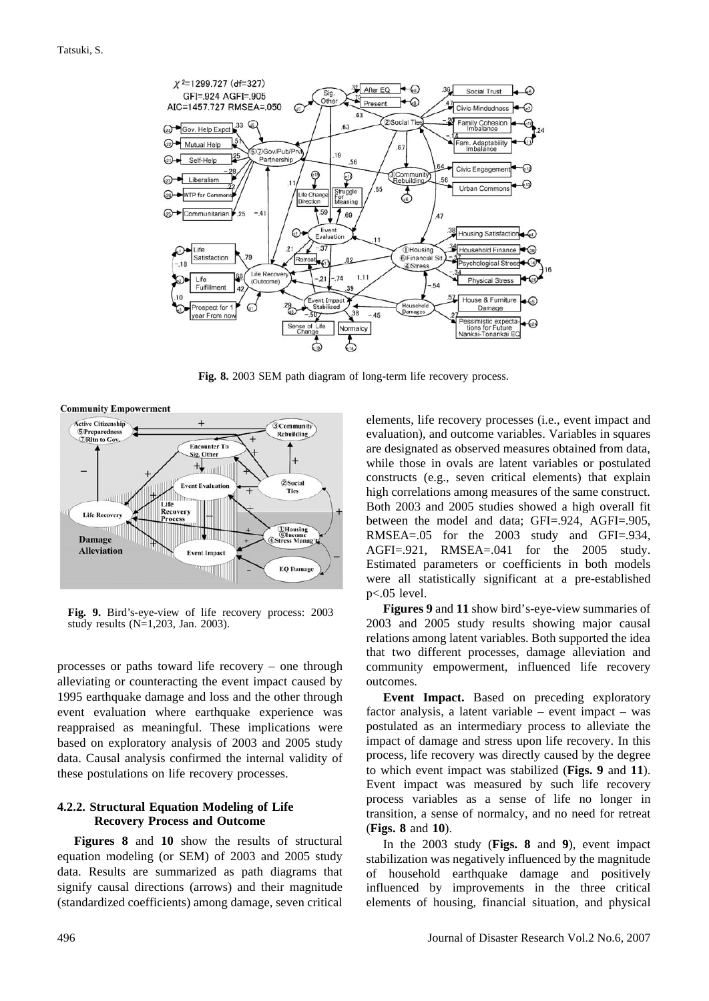

**Fig. 8.** 2003 SEM path diagram of long-term life recovery process.



**Fig. 9.** Bird's-eye-view of life recovery process: 2003 study results (N=1,203, Jan. 2003).

processes or paths toward life recovery – one through alleviating or counteracting the event impact caused by 1995 earthquake damage and loss and the other through event evaluation where earthquake experience was reappraised as meaningful. These implications were based on exploratory analysis of 2003 and 2005 study data. Causal analysis confirmed the internal validity of these postulations on life recovery processes.

#### **4.2.2. Structural Equation Modeling of Life Recovery Process and Outcome**

**Figures 8** and **10** show the results of structural equation modeling (or SEM) of 2003 and 2005 study data. Results are summarized as path diagrams that signify causal directions (arrows) and their magnitude (standardized coefficients) among damage, seven critical

elements, life recovery processes (i.e., event impact and evaluation), and outcome variables. Variables in squares are designated as observed measures obtained from data, while those in ovals are latent variables or postulated constructs (e.g., seven critical elements) that explain high correlations among measures of the same construct. Both 2003 and 2005 studies showed a high overall fit between the model and data; GFI=.924, AGFI=.905, RMSEA=.05 for the 2003 study and GFI=.934, AGFI=.921, RMSEA=.041 for the 2005 study. Estimated parameters or coefficients in both models were all statistically significant at a pre-established p<.05 level.

**Figures 9** and **11** show bird's-eye-view summaries of 2003 and 2005 study results showing major causal relations among latent variables. Both supported the idea that two different processes, damage alleviation and community empowerment, influenced life recovery outcomes.

**Event Impact.** Based on preceding exploratory factor analysis, a latent variable – event impact – was postulated as an intermediary process to alleviate the impact of damage and stress upon life recovery. In this process, life recovery was directly caused by the degree to which event impact was stabilized (**Figs. 9** and **11**). Event impact was measured by such life recovery process variables as a sense of life no longer in transition, a sense of normalcy, and no need for retreat (**Figs. 8** and **10**).

In the 2003 study (**Figs. 8** and **9**), event impact stabilization was negatively influenced by the magnitude of household earthquake damage and positively influenced by improvements in the three critical elements of housing, financial situation, and physical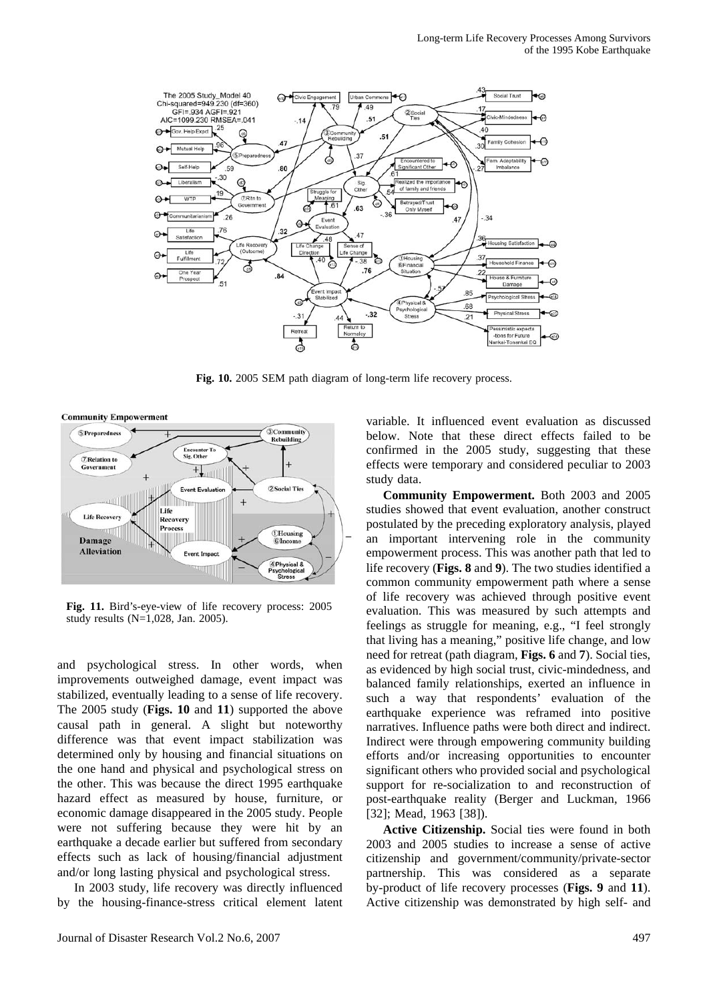

Fig. 10. 2005 SEM path diagram of long-term life recovery process.

**Community Empowerment** 



**Fig. 11.** Bird's-eye-view of life recovery process: 2005 study results (N=1,028, Jan. 2005).

and psychological stress. In other words, when improvements outweighed damage, event impact was stabilized, eventually leading to a sense of life recovery. The 2005 study (**Figs. 10** and **11**) supported the above causal path in general. A slight but noteworthy difference was that event impact stabilization was determined only by housing and financial situations on the one hand and physical and psychological stress on the other. This was because the direct 1995 earthquake hazard effect as measured by house, furniture, or economic damage disappeared in the 2005 study. People were not suffering because they were hit by an earthquake a decade earlier but suffered from secondary effects such as lack of housing/financial adjustment and/or long lasting physical and psychological stress.

In 2003 study, life recovery was directly influenced by the housing-finance-stress critical element latent variable. It influenced event evaluation as discussed below. Note that these direct effects failed to be confirmed in the 2005 study, suggesting that these effects were temporary and considered peculiar to 2003 study data.

**Community Empowerment.** Both 2003 and 2005 studies showed that event evaluation, another construct postulated by the preceding exploratory analysis, played an important intervening role in the community empowerment process. This was another path that led to life recovery (**Figs. 8** and **9**). The two studies identified a common community empowerment path where a sense of life recovery was achieved through positive event evaluation. This was measured by such attempts and feelings as struggle for meaning, e.g., "I feel strongly that living has a meaning," positive life change, and low need for retreat (path diagram, **Figs. 6** and **7**). Social ties, as evidenced by high social trust, civic-mindedness, and balanced family relationships, exerted an influence in such a way that respondents' evaluation of the earthquake experience was reframed into positive narratives. Influence paths were both direct and indirect. Indirect were through empowering community building efforts and/or increasing opportunities to encounter significant others who provided social and psychological support for re-socialization to and reconstruction of post-earthquake reality (Berger and Luckman, 1966 [32]; Mead, 1963 [38]).

**Active Citizenship.** Social ties were found in both 2003 and 2005 studies to increase a sense of active citizenship and government/community/private-sector partnership. This was considered as a separate by-product of life recovery processes (**Figs. 9** and **11**). Active citizenship was demonstrated by high self- and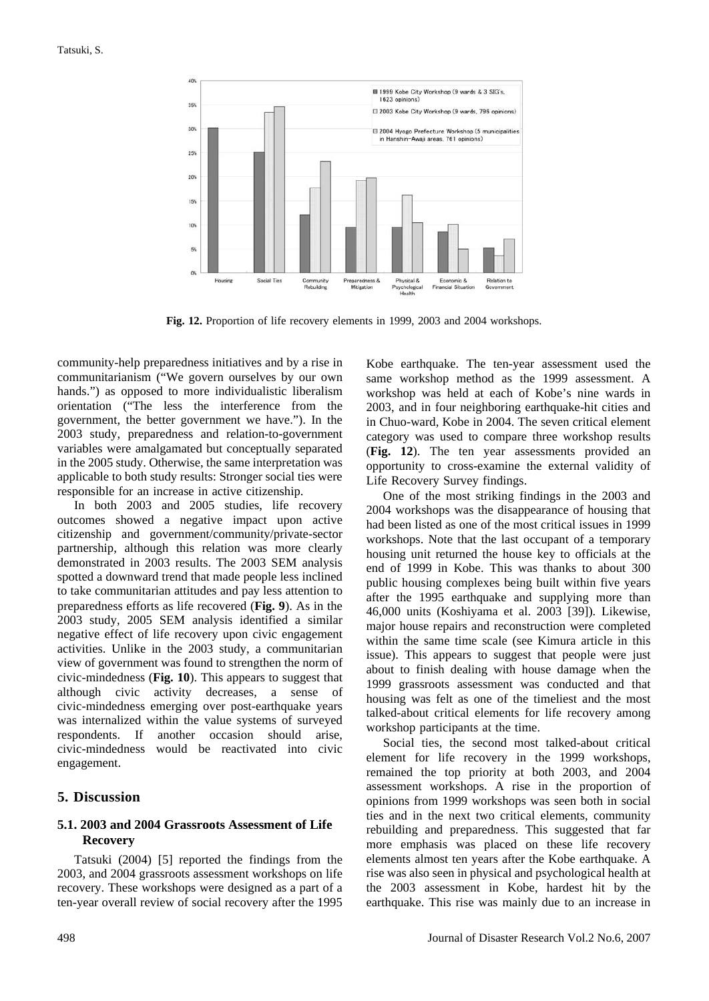

**Fig. 12.** Proportion of life recovery elements in 1999, 2003 and 2004 workshops.

community-help preparedness initiatives and by a rise in communitarianism ("We govern ourselves by our own hands.") as opposed to more individualistic liberalism orientation ("The less the interference from the government, the better government we have."). In the 2003 study, preparedness and relation-to-government variables were amalgamated but conceptually separated in the 2005 study. Otherwise, the same interpretation was applicable to both study results: Stronger social ties were responsible for an increase in active citizenship.

In both 2003 and 2005 studies, life recovery outcomes showed a negative impact upon active citizenship and government/community/private-sector partnership, although this relation was more clearly demonstrated in 2003 results. The 2003 SEM analysis spotted a downward trend that made people less inclined to take communitarian attitudes and pay less attention to preparedness efforts as life recovered (**Fig. 9**). As in the 2003 study, 2005 SEM analysis identified a similar negative effect of life recovery upon civic engagement activities. Unlike in the 2003 study, a communitarian view of government was found to strengthen the norm of civic-mindedness (**Fig. 10**). This appears to suggest that although civic activity decreases, a sense of civic-mindedness emerging over post-earthquake years was internalized within the value systems of surveyed respondents. If another occasion should arise, civic-mindedness would be reactivated into civic engagement.

## **5. Discussion**

## **5.1. 2003 and 2004 Grassroots Assessment of Life Recovery**

Tatsuki (2004) [5] reported the findings from the 2003, and 2004 grassroots assessment workshops on life recovery. These workshops were designed as a part of a ten-year overall review of social recovery after the 1995 Kobe earthquake. The ten-year assessment used the same workshop method as the 1999 assessment. A workshop was held at each of Kobe's nine wards in 2003, and in four neighboring earthquake-hit cities and in Chuo-ward, Kobe in 2004. The seven critical element category was used to compare three workshop results (**Fig. 12**). The ten year assessments provided an opportunity to cross-examine the external validity of Life Recovery Survey findings.

One of the most striking findings in the 2003 and 2004 workshops was the disappearance of housing that had been listed as one of the most critical issues in 1999 workshops. Note that the last occupant of a temporary housing unit returned the house key to officials at the end of 1999 in Kobe. This was thanks to about 300 public housing complexes being built within five years after the 1995 earthquake and supplying more than 46,000 units (Koshiyama et al. 2003 [39]). Likewise, major house repairs and reconstruction were completed within the same time scale (see Kimura article in this issue). This appears to suggest that people were just about to finish dealing with house damage when the 1999 grassroots assessment was conducted and that housing was felt as one of the timeliest and the most talked-about critical elements for life recovery among workshop participants at the time.

Social ties, the second most talked-about critical element for life recovery in the 1999 workshops, remained the top priority at both 2003, and 2004 assessment workshops. A rise in the proportion of opinions from 1999 workshops was seen both in social ties and in the next two critical elements, community rebuilding and preparedness. This suggested that far more emphasis was placed on these life recovery elements almost ten years after the Kobe earthquake. A rise was also seen in physical and psychological health at the 2003 assessment in Kobe, hardest hit by the earthquake. This rise was mainly due to an increase in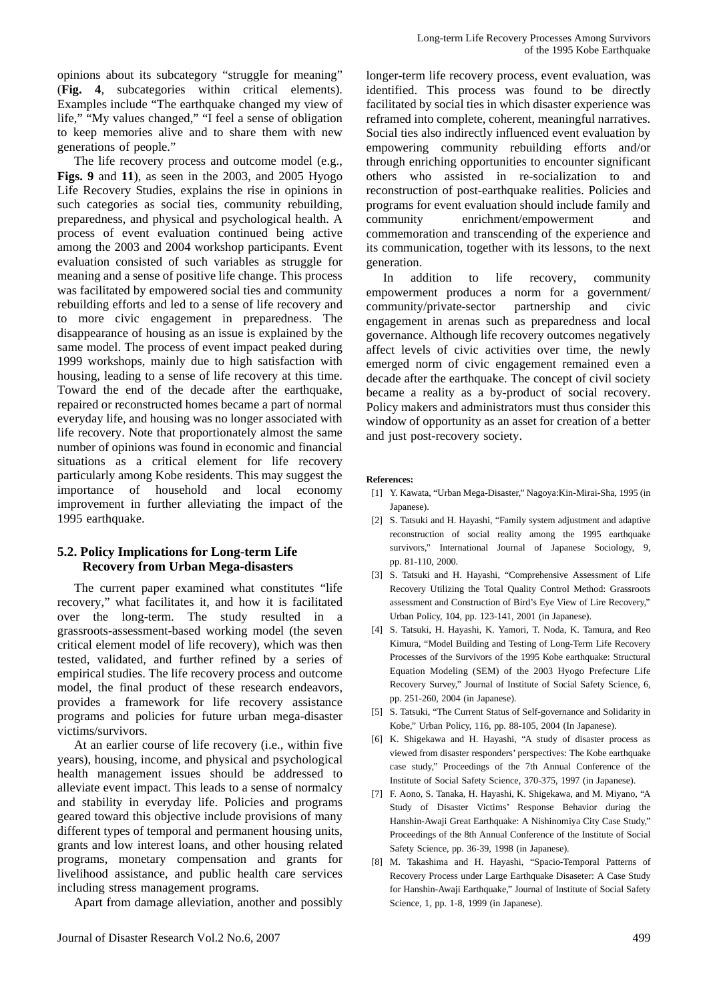opinions about its subcategory "struggle for meaning" (**Fig. 4**, subcategories within critical elements). Examples include "The earthquake changed my view of life," "My values changed," "I feel a sense of obligation to keep memories alive and to share them with new generations of people."

The life recovery process and outcome model (e.g., **Figs. 9** and **11**), as seen in the 2003, and 2005 Hyogo Life Recovery Studies, explains the rise in opinions in such categories as social ties, community rebuilding, preparedness, and physical and psychological health. A process of event evaluation continued being active among the 2003 and 2004 workshop participants. Event evaluation consisted of such variables as struggle for meaning and a sense of positive life change. This process was facilitated by empowered social ties and community rebuilding efforts and led to a sense of life recovery and to more civic engagement in preparedness. The disappearance of housing as an issue is explained by the same model. The process of event impact peaked during 1999 workshops, mainly due to high satisfaction with housing, leading to a sense of life recovery at this time. Toward the end of the decade after the earthquake, repaired or reconstructed homes became a part of normal everyday life, and housing was no longer associated with life recovery. Note that proportionately almost the same number of opinions was found in economic and financial situations as a critical element for life recovery particularly among Kobe residents. This may suggest the importance of household and local economy improvement in further alleviating the impact of the 1995 earthquake.

#### **5.2. Policy Implications for Long-term Life Recovery from Urban Mega-disasters**

The current paper examined what constitutes "life recovery," what facilitates it, and how it is facilitated over the long-term. The study resulted in a grassroots-assessment-based working model (the seven critical element model of life recovery), which was then tested, validated, and further refined by a series of empirical studies. The life recovery process and outcome model, the final product of these research endeavors, provides a framework for life recovery assistance programs and policies for future urban mega-disaster victims/survivors.

At an earlier course of life recovery (i.e., within five years), housing, income, and physical and psychological health management issues should be addressed to alleviate event impact. This leads to a sense of normalcy and stability in everyday life. Policies and programs geared toward this objective include provisions of many different types of temporal and permanent housing units, grants and low interest loans, and other housing related programs, monetary compensation and grants for livelihood assistance, and public health care services including stress management programs.

Apart from damage alleviation, another and possibly

longer-term life recovery process, event evaluation, was identified. This process was found to be directly facilitated by social ties in which disaster experience was reframed into complete, coherent, meaningful narratives. Social ties also indirectly influenced event evaluation by empowering community rebuilding efforts and/or through enriching opportunities to encounter significant others who assisted in re-socialization to and reconstruction of post-earthquake realities. Policies and programs for event evaluation should include family and community enrichment/empowerment and commemoration and transcending of the experience and its communication, together with its lessons, to the next generation.

In addition to life recovery, community empowerment produces a norm for a government/ community/private-sector partnership and civic engagement in arenas such as preparedness and local governance. Although life recovery outcomes negatively affect levels of civic activities over time, the newly emerged norm of civic engagement remained even a decade after the earthquake. The concept of civil society became a reality as a by-product of social recovery. Policy makers and administrators must thus consider this window of opportunity as an asset for creation of a better and just post-recovery society.

#### **References:**

- [1] Y. Kawata, "Urban Mega-Disaster," Nagoya:Kin-Mirai-Sha, 1995 (in Japanese).
- [2] S. Tatsuki and H. Hayashi, "Family system adjustment and adaptive reconstruction of social reality among the 1995 earthquake survivors," International Journal of Japanese Sociology, 9, pp. 81-110, 2000.
- [3] S. Tatsuki and H. Hayashi, "Comprehensive Assessment of Life Recovery Utilizing the Total Quality Control Method: Grassroots assessment and Construction of Bird's Eye View of Lire Recovery," Urban Policy, 104, pp. 123-141, 2001 (in Japanese).
- [4] S. Tatsuki, H. Hayashi, K. Yamori, T. Noda, K. Tamura, and Reo Kimura, "Model Building and Testing of Long-Term Life Recovery Processes of the Survivors of the 1995 Kobe earthquake: Structural Equation Modeling (SEM) of the 2003 Hyogo Prefecture Life Recovery Survey," Journal of Institute of Social Safety Science, 6, pp. 251-260, 2004 (in Japanese).
- [5] S. Tatsuki, "The Current Status of Self-governance and Solidarity in Kobe," Urban Policy, 116, pp. 88-105, 2004 (In Japanese).
- [6] K. Shigekawa and H. Hayashi, "A study of disaster process as viewed from disaster responders' perspectives: The Kobe earthquake case study," Proceedings of the 7th Annual Conference of the Institute of Social Safety Science, 370-375, 1997 (in Japanese).
- [7] F. Aono, S. Tanaka, H. Hayashi, K. Shigekawa, and M. Miyano, "A Study of Disaster Victims' Response Behavior during the Hanshin-Awaji Great Earthquake: A Nishinomiya City Case Study," Proceedings of the 8th Annual Conference of the Institute of Social Safety Science, pp. 36-39, 1998 (in Japanese).
- [8] M. Takashima and H. Hayashi, "Spacio-Temporal Patterns of Recovery Process under Large Earthquake Disaseter: A Case Study for Hanshin-Awaji Earthquake," Journal of Institute of Social Safety Science, 1, pp. 1-8, 1999 (in Japanese).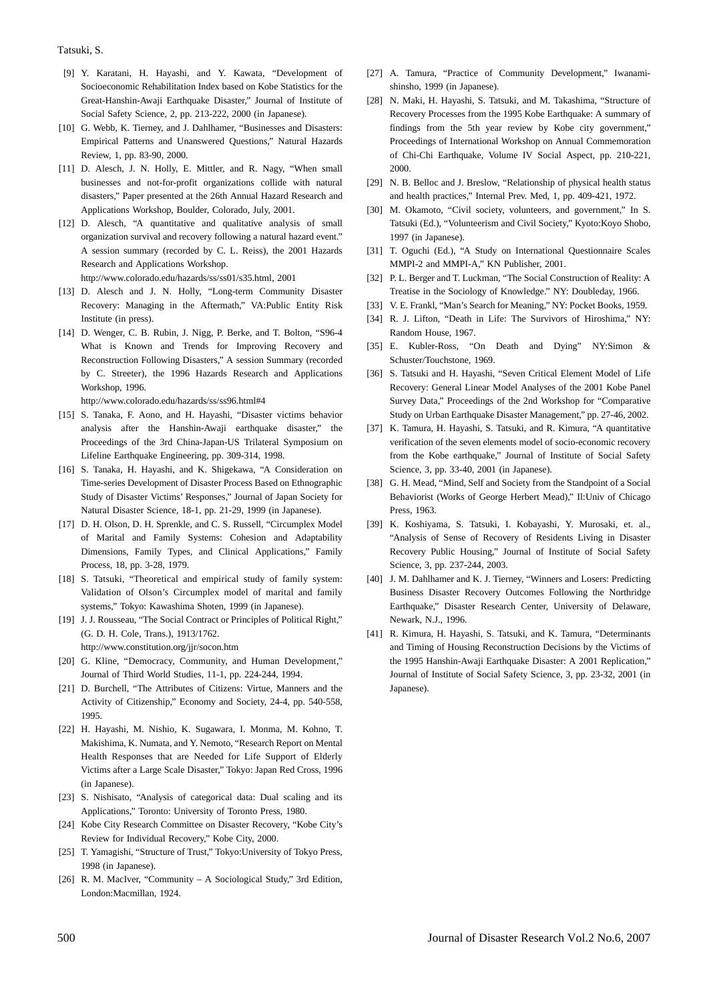#### Tatsuki, S.

- [9] Y. Karatani, H. Hayashi, and Y. Kawata, "Development of Socioeconomic Rehabilitation Index based on Kobe Statistics for the Great-Hanshin-Awaji Earthquake Disaster," Journal of Institute of Social Safety Science, 2, pp. 213-222, 2000 (in Japanese).
- [10] G. Webb, K. Tierney, and J. Dahlhamer, "Businesses and Disasters: Empirical Patterns and Unanswered Questions," Natural Hazards Review, 1, pp. 83-90, 2000.
- [11] D. Alesch, J. N. Holly, E. Mittler, and R. Nagy, "When small businesses and not-for-profit organizations collide with natural disasters," Paper presented at the 26th Annual Hazard Research and Applications Workshop, Boulder, Colorado, July, 2001.
- [12] D. Alesch, "A quantitative and qualitative analysis of small organization survival and recovery following a natural hazard event." A session summary (recorded by C. L. Reiss), the 2001 Hazards Research and Applications Workshop.

http://www.colorado.edu/hazards/ss/ss01/s35.html, 2001

- [13] D. Alesch and J. N. Holly, "Long-term Community Disaster Recovery: Managing in the Aftermath," VA:Public Entity Risk Institute (in press).
- [14] D. Wenger, C. B. Rubin, J. Nigg, P. Berke, and T. Bolton, "S96-4 What is Known and Trends for Improving Recovery and Reconstruction Following Disasters," A session Summary (recorded by C. Streeter), the 1996 Hazards Research and Applications Workshop, 1996.

http://www.colorado.edu/hazards/ss/ss96.html#4

- [15] S. Tanaka, F. Aono, and H. Hayashi, "Disaster victims behavior analysis after the Hanshin-Awaji earthquake disaster," the Proceedings of the 3rd China-Japan-US Trilateral Symposium on Lifeline Earthquake Engineering, pp. 309-314, 1998.
- [16] S. Tanaka, H. Hayashi, and K. Shigekawa, "A Consideration on Time-series Development of Disaster Process Based on Ethnographic Study of Disaster Victims' Responses," Journal of Japan Society for Natural Disaster Science, 18-1, pp. 21-29, 1999 (in Japanese).
- [17] D. H. Olson, D. H. Sprenkle, and C. S. Russell, "Circumplex Model of Marital and Family Systems: Cohesion and Adaptability Dimensions, Family Types, and Clinical Applications," Family Process, 18, pp. 3-28, 1979.
- [18] S. Tatsuki, "Theoretical and empirical study of family system: Validation of Olson's Circumplex model of marital and family systems," Tokyo: Kawashima Shoten, 1999 (in Japanese).
- [19] J. J. Rousseau, "The Social Contract or Principles of Political Right," (G. D. H. Cole, Trans.), 1913/1762.

http://www.constitution.org/jjr/socon.htm

- [20] G. Kline, "Democracy, Community, and Human Development," Journal of Third World Studies, 11-1, pp. 224-244, 1994.
- [21] D. Burchell, "The Attributes of Citizens: Virtue, Manners and the Activity of Citizenship," Economy and Society, 24-4, pp. 540-558, 1995.
- [22] H. Hayashi, M. Nishio, K. Sugawara, I. Monma, M. Kohno, T. Makishima, K. Numata, and Y. Nemoto, "Research Report on Mental Health Responses that are Needed for Life Support of Elderly Victims after a Large Scale Disaster," Tokyo: Japan Red Cross, 1996 (in Japanese).
- [23] S. Nishisato, "Analysis of categorical data: Dual scaling and its Applications," Toronto: University of Toronto Press, 1980.
- [24] Kobe City Research Committee on Disaster Recovery, "Kobe City's Review for Individual Recovery," Kobe City, 2000.
- [25] T. Yamagishi, "Structure of Trust," Tokyo:University of Tokyo Press, 1998 (in Japanese).
- [26] R. M. MacIver, "Community A Sociological Study," 3rd Edition, London:Macmillan, 1924.
- [27] A. Tamura, "Practice of Community Development," Iwanamishinsho, 1999 (in Japanese).
- [28] N. Maki, H. Hayashi, S. Tatsuki, and M. Takashima, "Structure of Recovery Processes from the 1995 Kobe Earthquake: A summary of findings from the 5th year review by Kobe city government," Proceedings of International Workshop on Annual Commemoration of Chi-Chi Earthquake, Volume IV Social Aspect, pp. 210-221, 2000.
- [29] N. B. Belloc and J. Breslow, "Relationship of physical health status and health practices," Internal Prev. Med, 1, pp. 409-421, 1972.
- [30] M. Okamoto, "Civil society, volunteers, and government," In S. Tatsuki (Ed.), "Volunteerism and Civil Society," Kyoto:Koyo Shobo, 1997 (in Japanese).
- [31] T. Oguchi (Ed.), "A Study on International Questionnaire Scales MMPI-2 and MMPI-A," KN Publisher, 2001.
- [32] P. L. Berger and T. Luckman, "The Social Construction of Reality: A Treatise in the Sociology of Knowledge." NY: Doubleday, 1966.
- [33] V. E. Frankl, "Man's Search for Meaning," NY: Pocket Books, 1959.
- [34] R. J. Lifton, "Death in Life: The Survivors of Hiroshima," NY: Random House, 1967.
- [35] E. Kubler-Ross, "On Death and Dying" NY:Simon & Schuster/Touchstone, 1969.
- [36] S. Tatsuki and H. Hayashi, "Seven Critical Element Model of Life Recovery: General Linear Model Analyses of the 2001 Kobe Panel Survey Data," Proceedings of the 2nd Workshop for "Comparative Study on Urban Earthquake Disaster Management," pp. 27-46, 2002.
- [37] K. Tamura, H. Hayashi, S. Tatsuki, and R. Kimura, "A quantitative verification of the seven elements model of socio-economic recovery from the Kobe earthquake," Journal of Institute of Social Safety Science, 3, pp. 33-40, 2001 (in Japanese).
- [38] G. H. Mead, "Mind, Self and Society from the Standpoint of a Social Behaviorist (Works of George Herbert Mead)," Il:Univ of Chicago Press, 1963.
- [39] K. Koshiyama, S. Tatsuki, I. Kobayashi, Y. Murosaki, et. al., "Analysis of Sense of Recovery of Residents Living in Disaster Recovery Public Housing," Journal of Institute of Social Safety Science, 3, pp. 237-244, 2003.
- [40] J. M. Dahlhamer and K. J. Tierney, "Winners and Losers: Predicting Business Disaster Recovery Outcomes Following the Northridge Earthquake," Disaster Research Center, University of Delaware, Newark, N.J., 1996.
- [41] R. Kimura, H. Hayashi, S. Tatsuki, and K. Tamura, "Determinants and Timing of Housing Reconstruction Decisions by the Victims of the 1995 Hanshin-Awaji Earthquake Disaster: A 2001 Replication," Journal of Institute of Social Safety Science, 3, pp. 23-32, 2001 (in Japanese).